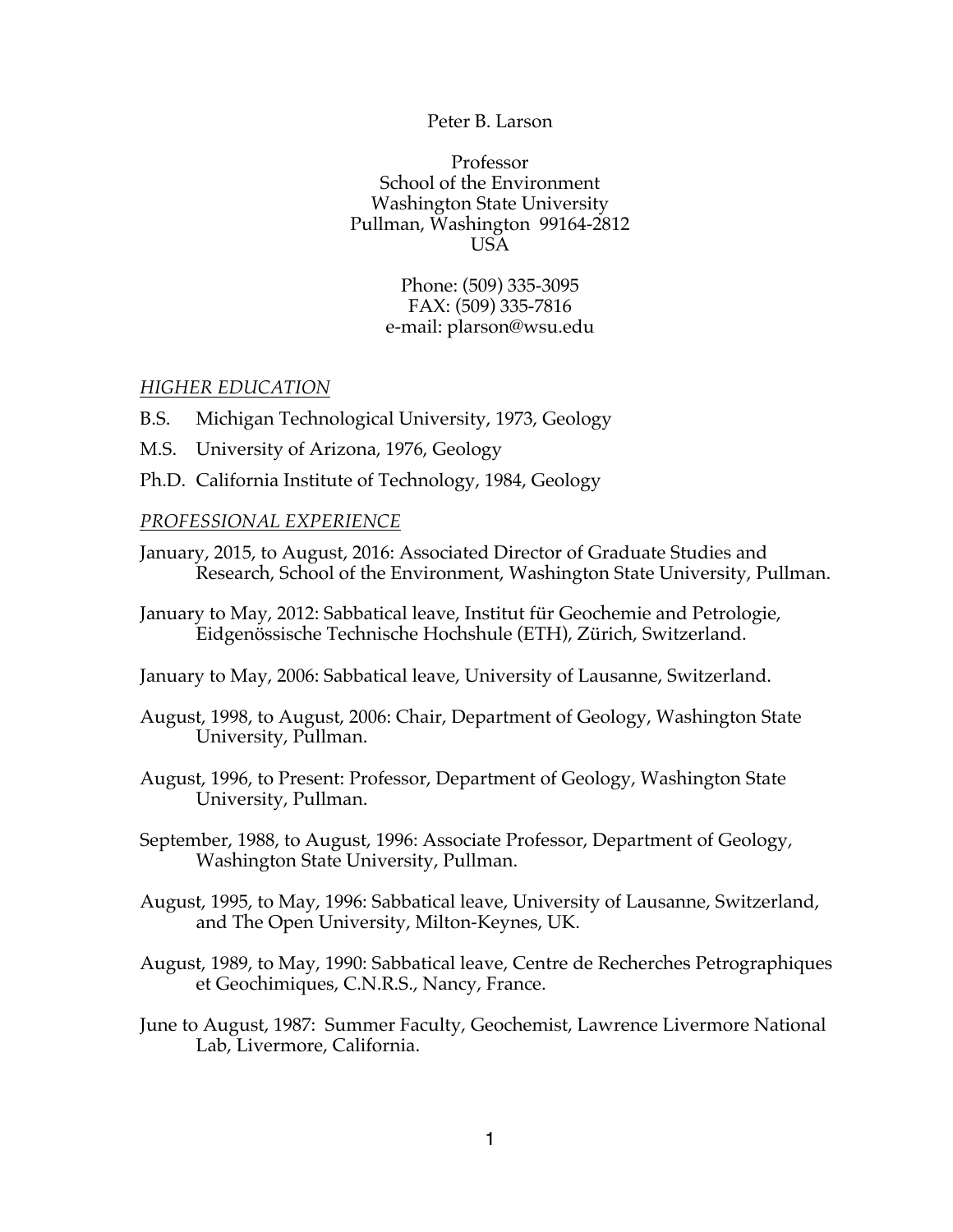### Peter B. Larson

Professor School of the Environment Washington State University Pullman, Washington 99164-2812 USA

> Phone: (509) 335-3095 FAX: (509) 335-7816 e-mail: plarson@wsu.edu

### *HIGHER EDUCATION*

- B.S. Michigan Technological University, 1973, Geology
- M.S. University of Arizona, 1976, Geology
- Ph.D. California Institute of Technology, 1984, Geology

### *PROFESSIONAL EXPERIENCE*

- January, 2015, to August, 2016: Associated Director of Graduate Studies and Research, School of the Environment, Washington State University, Pullman.
- January to May, 2012: Sabbatical leave, Institut für Geochemie and Petrologie, Eidgenössische Technische Hochshule (ETH), Zürich, Switzerland.
- January to May, 2006: Sabbatical leave, University of Lausanne, Switzerland.
- August, 1998, to August, 2006: Chair, Department of Geology, Washington State University, Pullman.
- August, 1996, to Present: Professor, Department of Geology, Washington State University, Pullman.
- September, 1988, to August, 1996: Associate Professor, Department of Geology, Washington State University, Pullman.
- August, 1995, to May, 1996: Sabbatical leave, University of Lausanne, Switzerland, and The Open University, Milton-Keynes, UK.
- August, 1989, to May, 1990: Sabbatical leave, Centre de Recherches Petrographiques et Geochimiques, C.N.R.S., Nancy, France.
- June to August, 1987: Summer Faculty, Geochemist, Lawrence Livermore National Lab, Livermore, California.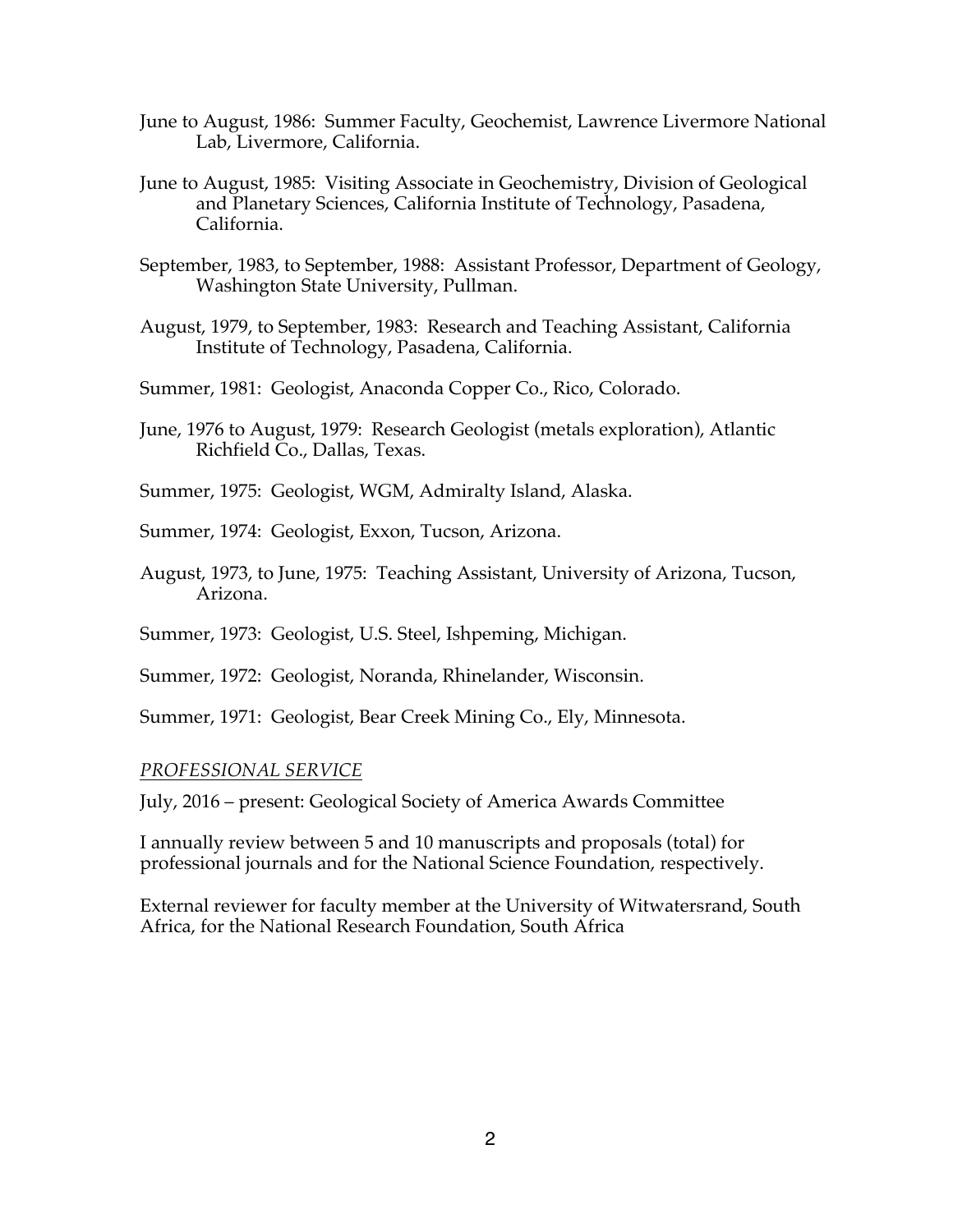- June to August, 1986: Summer Faculty, Geochemist, Lawrence Livermore National Lab, Livermore, California.
- June to August, 1985: Visiting Associate in Geochemistry, Division of Geological and Planetary Sciences, California Institute of Technology, Pasadena, California.
- September, 1983, to September, 1988: Assistant Professor, Department of Geology, Washington State University, Pullman.
- August, 1979, to September, 1983: Research and Teaching Assistant, California Institute of Technology, Pasadena, California.
- Summer, 1981: Geologist, Anaconda Copper Co., Rico, Colorado.
- June, 1976 to August, 1979: Research Geologist (metals exploration), Atlantic Richfield Co., Dallas, Texas.
- Summer, 1975: Geologist, WGM, Admiralty Island, Alaska.
- Summer, 1974: Geologist, Exxon, Tucson, Arizona.
- August, 1973, to June, 1975: Teaching Assistant, University of Arizona, Tucson, Arizona.
- Summer, 1973: Geologist, U.S. Steel, Ishpeming, Michigan.
- Summer, 1972: Geologist, Noranda, Rhinelander, Wisconsin.
- Summer, 1971: Geologist, Bear Creek Mining Co., Ely, Minnesota.

## *PROFESSIONAL SERVICE*

July, 2016 – present: Geological Society of America Awards Committee

I annually review between 5 and 10 manuscripts and proposals (total) for professional journals and for the National Science Foundation, respectively.

External reviewer for faculty member at the University of Witwatersrand, South Africa, for the National Research Foundation, South Africa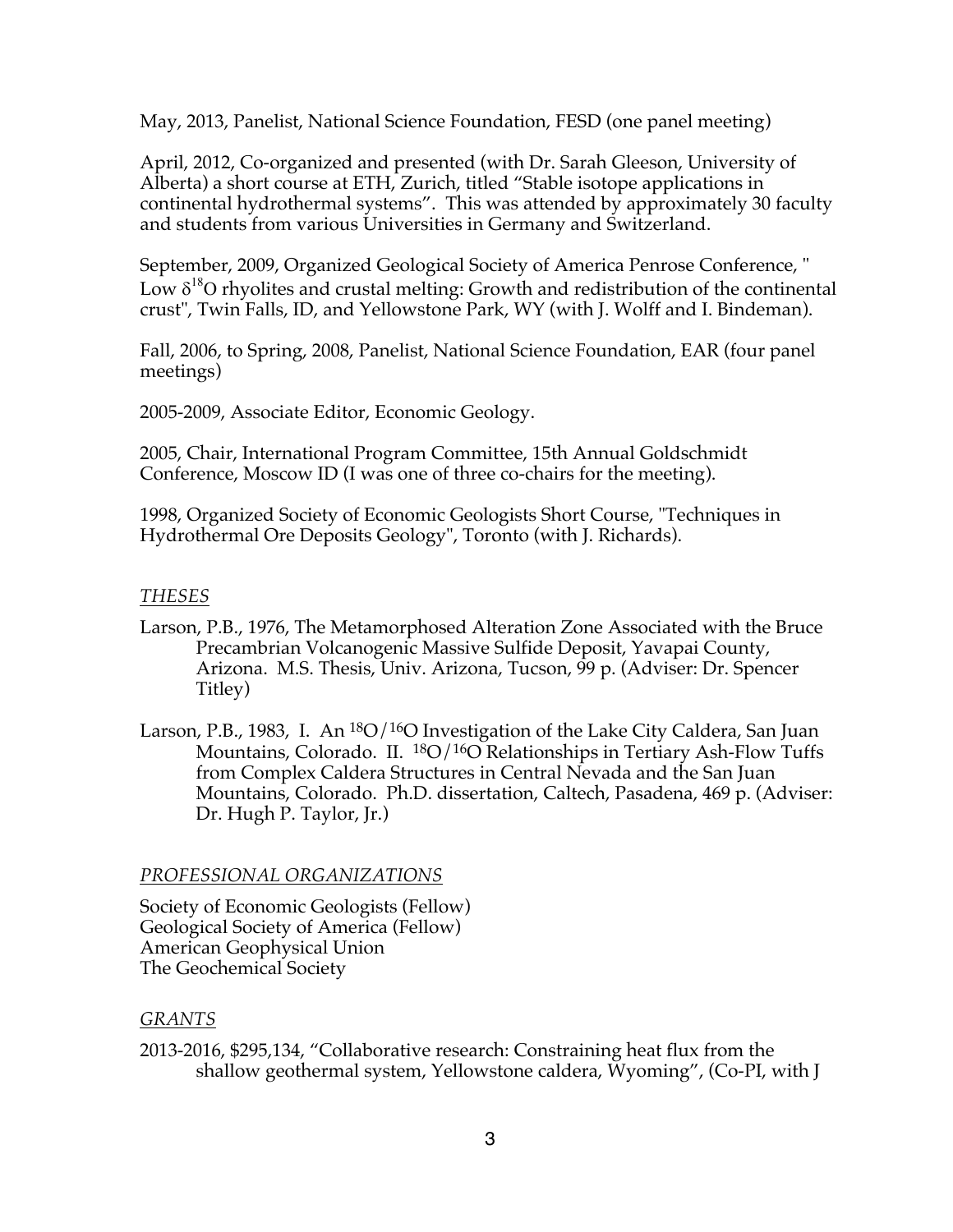May, 2013, Panelist, National Science Foundation, FESD (one panel meeting)

April, 2012, Co-organized and presented (with Dr. Sarah Gleeson, University of Alberta) a short course at ETH, Zurich, titled "Stable isotope applications in continental hydrothermal systems". This was attended by approximately 30 faculty and students from various Universities in Germany and Switzerland.

September, 2009, Organized Geological Society of America Penrose Conference, " Low  $\delta^{18}$ O rhyolites and crustal melting: Growth and redistribution of the continental crust", Twin Falls, ID, and Yellowstone Park, WY (with J. Wolff and I. Bindeman).

Fall, 2006, to Spring, 2008, Panelist, National Science Foundation, EAR (four panel meetings)

2005-2009, Associate Editor, Economic Geology.

2005, Chair, International Program Committee, 15th Annual Goldschmidt Conference, Moscow ID (I was one of three co-chairs for the meeting).

1998, Organized Society of Economic Geologists Short Course, "Techniques in Hydrothermal Ore Deposits Geology", Toronto (with J. Richards).

# *THESES*

- Larson, P.B., 1976, The Metamorphosed Alteration Zone Associated with the Bruce Precambrian Volcanogenic Massive Sulfide Deposit, Yavapai County, Arizona. M.S. Thesis, Univ. Arizona, Tucson, 99 p. (Adviser: Dr. Spencer Titley)
- Larson, P.B., 1983, I. An  $^{18}O/^{16}O$  Investigation of the Lake City Caldera, San Juan Mountains, Colorado. II. <sup>18</sup>O/<sup>16</sup>O Relationships in Tertiary Ash-Flow Tuffs from Complex Caldera Structures in Central Nevada and the San Juan Mountains, Colorado. Ph.D. dissertation, Caltech, Pasadena, 469 p. (Adviser: Dr. Hugh P. Taylor, Jr.)

## *PROFESSIONAL ORGANIZATIONS*

Society of Economic Geologists (Fellow) Geological Society of America (Fellow) American Geophysical Union The Geochemical Society

# *GRANTS*

2013-2016, \$295,134, "Collaborative research: Constraining heat flux from the shallow geothermal system, Yellowstone caldera, Wyoming", (Co-PI, with J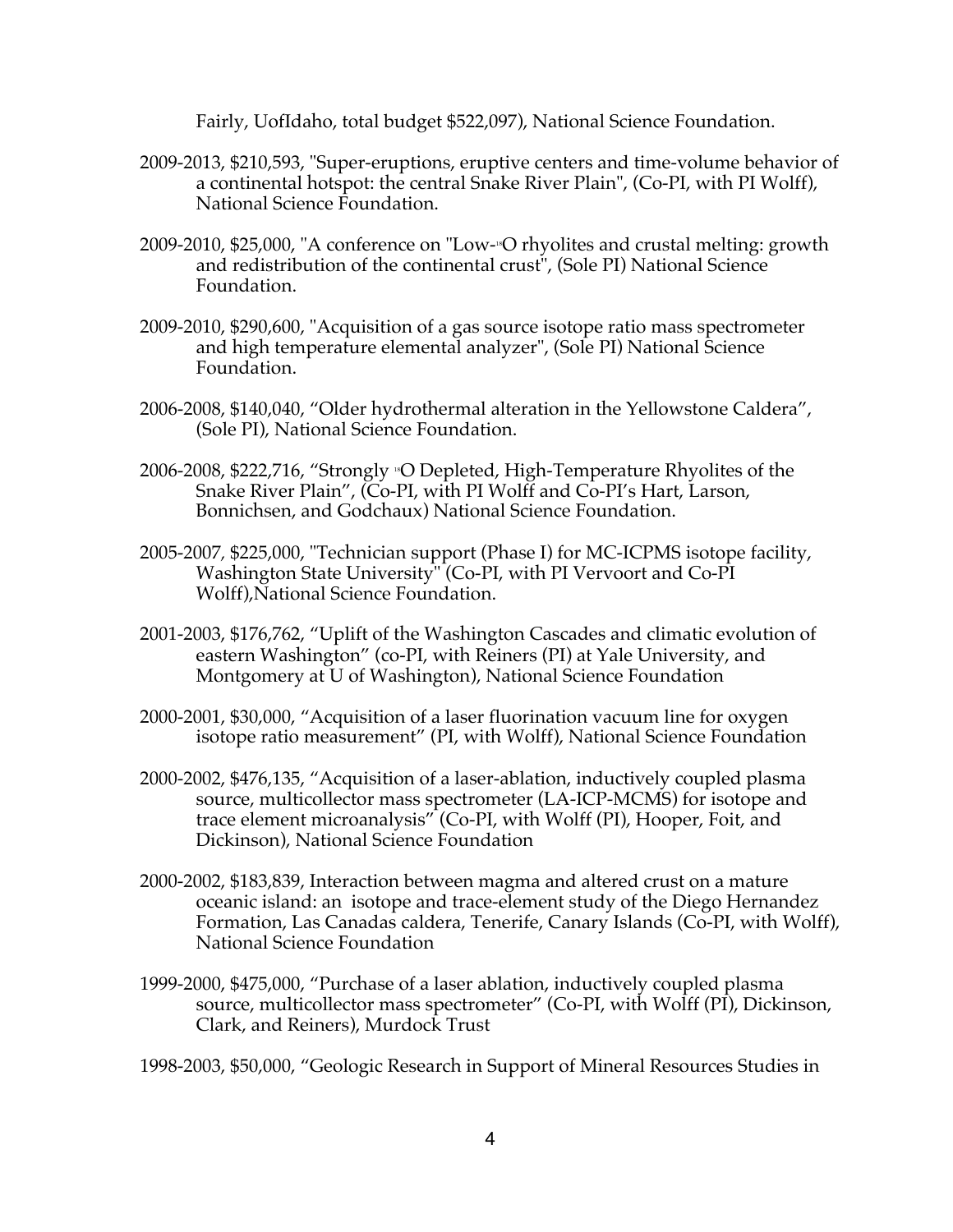Fairly, UofIdaho, total budget \$522,097), National Science Foundation.

- 2009-2013, \$210,593, "Super-eruptions, eruptive centers and time-volume behavior of a continental hotspot: the central Snake River Plain", (Co-PI, with PI Wolff), National Science Foundation.
- 2009-2010, \$25,000, "A conference on "Low-18O rhyolites and crustal melting: growth and redistribution of the continental crust", (Sole PI) National Science Foundation.
- 2009-2010, \$290,600, "Acquisition of a gas source isotope ratio mass spectrometer and high temperature elemental analyzer", (Sole PI) National Science Foundation.
- 2006-2008, \$140,040, "Older hydrothermal alteration in the Yellowstone Caldera", (Sole PI), National Science Foundation.
- 2006-2008, \$222,716, "Strongly <sup>18</sup>O Depleted, High-Temperature Rhyolites of the Snake River Plain", (Co-PI, with PI Wolff and Co-PI's Hart, Larson, Bonnichsen, and Godchaux) National Science Foundation.
- 2005-2007*,* \$225,000, "Technician support (Phase I) for MC-ICPMS isotope facility, Washington State University" (Co-PI, with PI Vervoort and Co-PI Wolff),National Science Foundation.
- 2001-2003, \$176,762, "Uplift of the Washington Cascades and climatic evolution of eastern Washington" (co-PI, with Reiners (PI) at Yale University, and Montgomery at U of Washington), National Science Foundation
- 2000-2001, \$30,000, "Acquisition of a laser fluorination vacuum line for oxygen isotope ratio measurement" (PI, with Wolff), National Science Foundation
- 2000-2002, \$476,135, "Acquisition of a laser-ablation, inductively coupled plasma source, multicollector mass spectrometer (LA-ICP-MCMS) for isotope and trace element microanalysis" (Co-PI, with Wolff (PI), Hooper, Foit, and Dickinson), National Science Foundation
- 2000-2002, \$183,839, Interaction between magma and altered crust on a mature oceanic island: an isotope and trace-element study of the Diego Hernandez Formation, Las Canadas caldera, Tenerife, Canary Islands (Co-PI, with Wolff), National Science Foundation
- 1999-2000, \$475,000, "Purchase of a laser ablation, inductively coupled plasma source, multicollector mass spectrometer" (Co-PI, with Wolff (PI), Dickinson, Clark, and Reiners), Murdock Trust

1998-2003, \$50,000, "Geologic Research in Support of Mineral Resources Studies in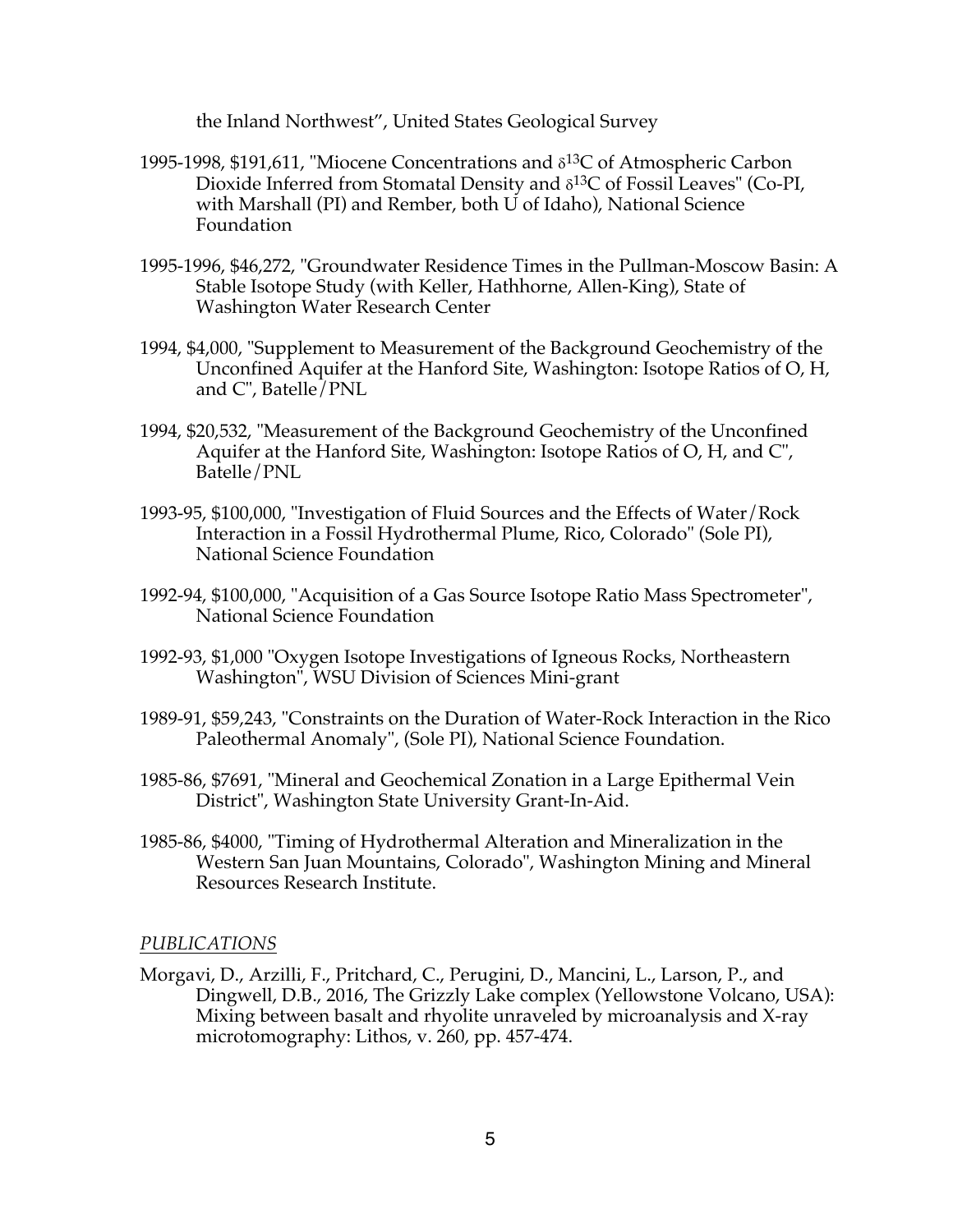the Inland Northwest", United States Geological Survey

- 1995-1998, \$191,611, "Miocene Concentrations and  $\delta^{13}$ C of Atmospheric Carbon Dioxide Inferred from Stomatal Density and  $\delta^{13}C$  of Fossil Leaves" (Co-PI, with Marshall (PI) and Rember, both U of Idaho), National Science Foundation
- 1995-1996, \$46,272, "Groundwater Residence Times in the Pullman-Moscow Basin: A Stable Isotope Study (with Keller, Hathhorne, Allen-King), State of Washington Water Research Center
- 1994, \$4,000, "Supplement to Measurement of the Background Geochemistry of the Unconfined Aquifer at the Hanford Site, Washington: Isotope Ratios of O, H, and C", Batelle/PNL
- 1994, \$20,532, "Measurement of the Background Geochemistry of the Unconfined Aquifer at the Hanford Site, Washington: Isotope Ratios of O, H, and C", Batelle/PNL
- 1993-95, \$100,000, "Investigation of Fluid Sources and the Effects of Water/Rock Interaction in a Fossil Hydrothermal Plume, Rico, Colorado" (Sole PI), National Science Foundation
- 1992-94, \$100,000, "Acquisition of a Gas Source Isotope Ratio Mass Spectrometer", National Science Foundation
- 1992-93, \$1,000 "Oxygen Isotope Investigations of Igneous Rocks, Northeastern Washington", WSU Division of Sciences Mini-grant
- 1989-91, \$59,243, "Constraints on the Duration of Water-Rock Interaction in the Rico Paleothermal Anomaly", (Sole PI), National Science Foundation.
- 1985-86, \$7691, "Mineral and Geochemical Zonation in a Large Epithermal Vein District", Washington State University Grant-In-Aid.
- 1985-86, \$4000, "Timing of Hydrothermal Alteration and Mineralization in the Western San Juan Mountains, Colorado", Washington Mining and Mineral Resources Research Institute.

## *PUBLICATIONS*

Morgavi, D., Arzilli, F., Pritchard, C., Perugini, D., Mancini, L., Larson, P., and Dingwell, D.B., 2016, The Grizzly Lake complex (Yellowstone Volcano, USA): Mixing between basalt and rhyolite unraveled by microanalysis and X-ray microtomography: Lithos, v. 260, pp. 457-474.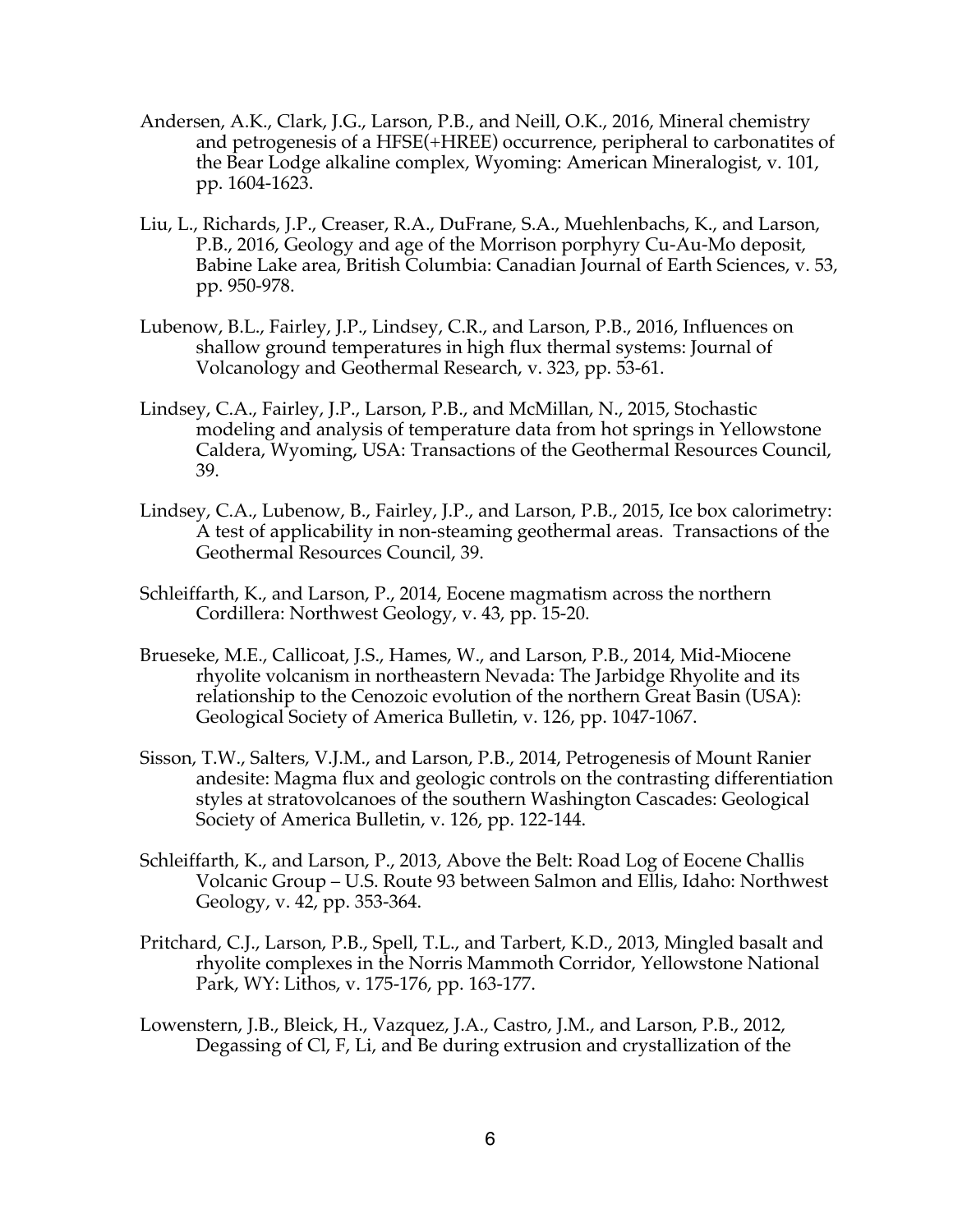- Andersen, A.K., Clark, J.G., Larson, P.B., and Neill, O.K., 2016, Mineral chemistry and petrogenesis of a HFSE(+HREE) occurrence, peripheral to carbonatites of the Bear Lodge alkaline complex, Wyoming: American Mineralogist, v. 101, pp. 1604-1623.
- Liu, L., Richards, J.P., Creaser, R.A., DuFrane, S.A., Muehlenbachs, K., and Larson, P.B., 2016, Geology and age of the Morrison porphyry Cu-Au-Mo deposit, Babine Lake area, British Columbia: Canadian Journal of Earth Sciences, v. 53, pp. 950-978.
- Lubenow, B.L., Fairley, J.P., Lindsey, C.R., and Larson, P.B., 2016, Influences on shallow ground temperatures in high flux thermal systems: Journal of Volcanology and Geothermal Research, v. 323, pp. 53-61.
- Lindsey, C.A., Fairley, J.P., Larson, P.B., and McMillan, N., 2015, Stochastic modeling and analysis of temperature data from hot springs in Yellowstone Caldera, Wyoming, USA: Transactions of the Geothermal Resources Council, 39.
- Lindsey, C.A., Lubenow, B., Fairley, J.P., and Larson, P.B., 2015, Ice box calorimetry: A test of applicability in non-steaming geothermal areas. Transactions of the Geothermal Resources Council, 39.
- Schleiffarth, K., and Larson, P., 2014, Eocene magmatism across the northern Cordillera: Northwest Geology, v. 43, pp. 15-20.
- Brueseke, M.E., Callicoat, J.S., Hames, W., and Larson, P.B., 2014, Mid-Miocene rhyolite volcanism in northeastern Nevada: The Jarbidge Rhyolite and its relationship to the Cenozoic evolution of the northern Great Basin (USA): Geological Society of America Bulletin, v. 126, pp. 1047-1067.
- Sisson, T.W., Salters, V.J.M., and Larson, P.B., 2014, Petrogenesis of Mount Ranier andesite: Magma flux and geologic controls on the contrasting differentiation styles at stratovolcanoes of the southern Washington Cascades: Geological Society of America Bulletin, v. 126, pp. 122-144.
- Schleiffarth, K., and Larson, P., 2013, Above the Belt: Road Log of Eocene Challis Volcanic Group – U.S. Route 93 between Salmon and Ellis, Idaho: Northwest Geology, v. 42, pp. 353-364.
- Pritchard, C.J., Larson, P.B., Spell, T.L., and Tarbert, K.D., 2013, Mingled basalt and rhyolite complexes in the Norris Mammoth Corridor, Yellowstone National Park, WY: Lithos, v. 175-176, pp. 163-177.
- Lowenstern, J.B., Bleick, H., Vazquez, J.A., Castro, J.M., and Larson, P.B., 2012, Degassing of Cl, F, Li, and Be during extrusion and crystallization of the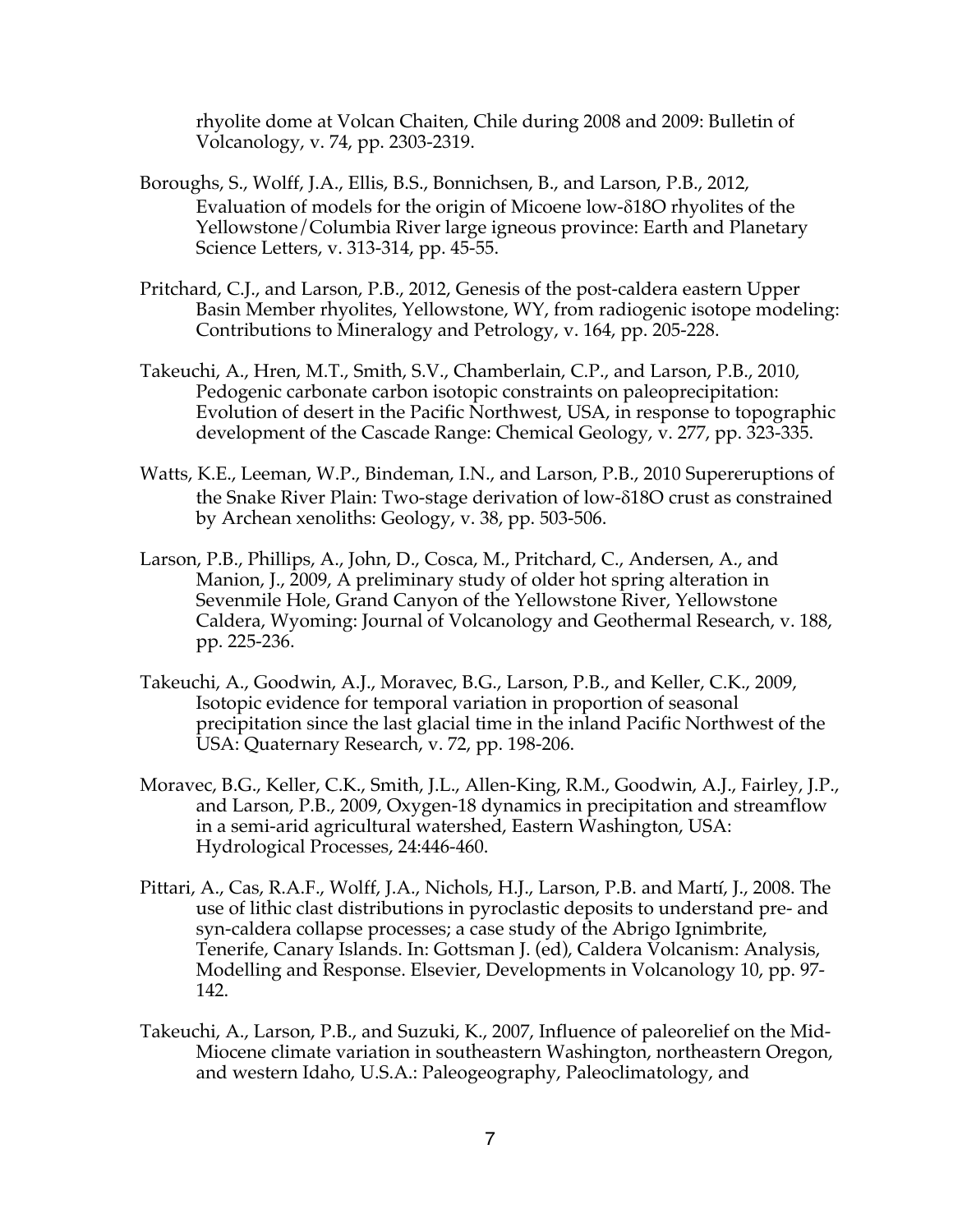rhyolite dome at Volcan Chaiten, Chile during 2008 and 2009: Bulletin of Volcanology, v. 74, pp. 2303-2319.

- Boroughs, S., Wolff, J.A., Ellis, B.S., Bonnichsen, B., and Larson, P.B., 2012, Evaluation of models for the origin of Micoene low- $\delta$ 18O rhyolites of the Yellowstone/Columbia River large igneous province: Earth and Planetary Science Letters, v. 313-314, pp. 45-55.
- Pritchard, C.J., and Larson, P.B., 2012, Genesis of the post-caldera eastern Upper Basin Member rhyolites, Yellowstone, WY, from radiogenic isotope modeling: Contributions to Mineralogy and Petrology, v. 164, pp. 205-228.
- Takeuchi, A., Hren, M.T., Smith, S.V., Chamberlain, C.P., and Larson, P.B., 2010, Pedogenic carbonate carbon isotopic constraints on paleoprecipitation: Evolution of desert in the Pacific Northwest, USA, in response to topographic development of the Cascade Range: Chemical Geology, v. 277, pp. 323-335.
- Watts, K.E., Leeman, W.P., Bindeman, I.N., and Larson, P.B., 2010 Supereruptions of the Snake River Plain: Two-stage derivation of low-δ18O crust as constrained by Archean xenoliths: Geology, v. 38, pp. 503-506.
- Larson, P.B., Phillips, A., John, D., Cosca, M., Pritchard, C., Andersen, A., and Manion, J., 2009, A preliminary study of older hot spring alteration in Sevenmile Hole, Grand Canyon of the Yellowstone River, Yellowstone Caldera, Wyoming: Journal of Volcanology and Geothermal Research, v. 188, pp. 225-236.
- Takeuchi, A., Goodwin, A.J., Moravec, B.G., Larson, P.B., and Keller, C.K., 2009, Isotopic evidence for temporal variation in proportion of seasonal precipitation since the last glacial time in the inland Pacific Northwest of the USA: Quaternary Research, v. 72, pp. 198-206.
- Moravec, B.G., Keller, C.K., Smith, J.L., Allen-King, R.M., Goodwin, A.J., Fairley, J.P., and Larson, P.B., 2009, Oxygen-18 dynamics in precipitation and streamflow in a semi-arid agricultural watershed, Eastern Washington, USA: Hydrological Processes, 24:446-460.
- Pittari, A., Cas, R.A.F., Wolff, J.A., Nichols, H.J., Larson, P.B. and Martí, J., 2008. The use of lithic clast distributions in pyroclastic deposits to understand pre- and syn-caldera collapse processes; a case study of the Abrigo Ignimbrite, Tenerife, Canary Islands. In: Gottsman J. (ed), Caldera Volcanism: Analysis, Modelling and Response. Elsevier, Developments in Volcanology 10, pp. 97- 142.
- Takeuchi, A., Larson, P.B., and Suzuki, K., 2007, Influence of paleorelief on the Mid-Miocene climate variation in southeastern Washington, northeastern Oregon, and western Idaho, U.S.A.: Paleogeography, Paleoclimatology, and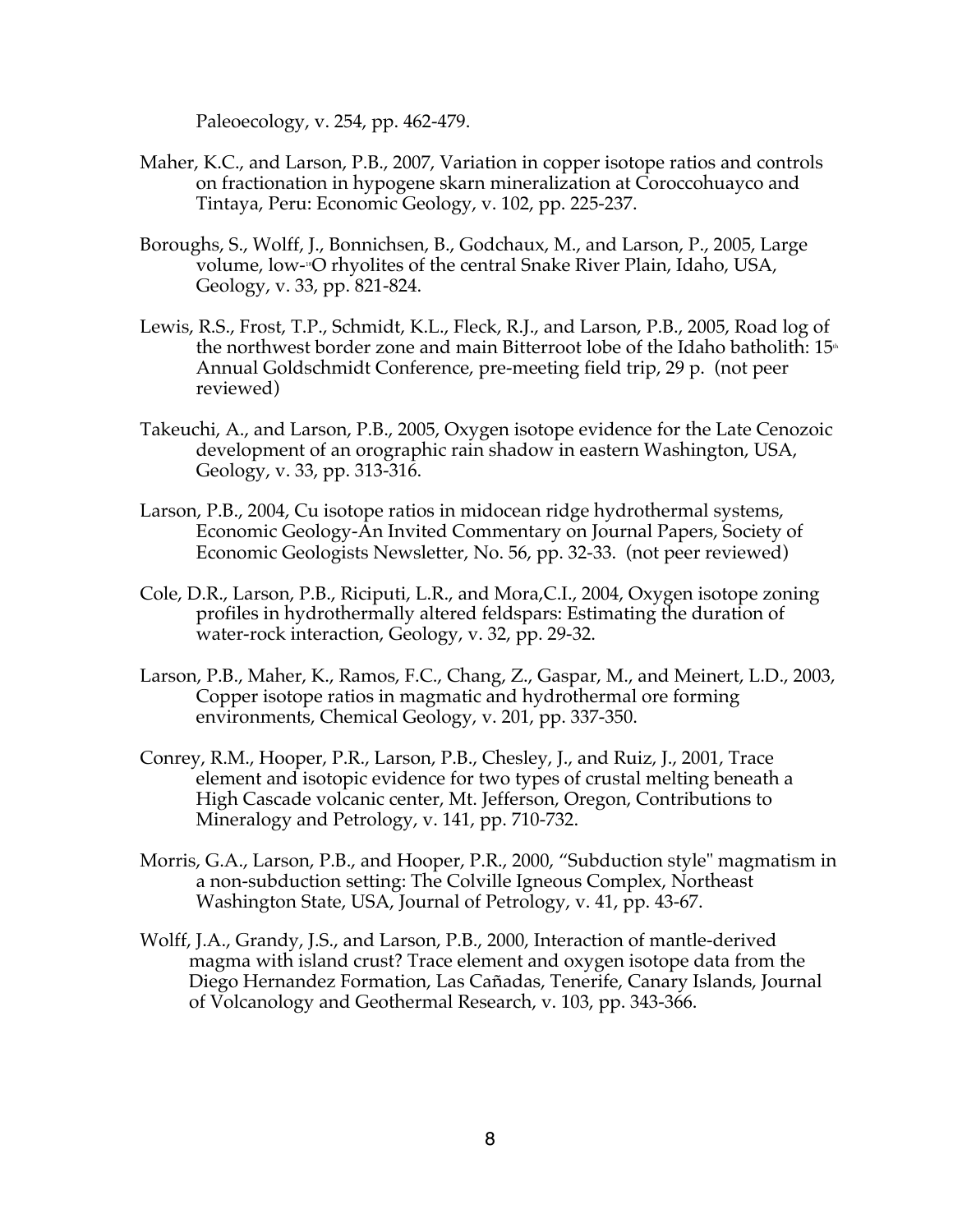Paleoecology, v. 254, pp. 462-479.

- Maher, K.C., and Larson, P.B., 2007, Variation in copper isotope ratios and controls on fractionation in hypogene skarn mineralization at Coroccohuayco and Tintaya, Peru: Economic Geology, v. 102, pp. 225-237.
- Boroughs, S., Wolff, J., Bonnichsen, B., Godchaux, M., and Larson, P., 2005, Large volume, low-18O rhyolites of the central Snake River Plain, Idaho, USA, Geology, v. 33, pp. 821-824.
- Lewis, R.S., Frost, T.P., Schmidt, K.L., Fleck, R.J., and Larson, P.B., 2005, Road log of the northwest border zone and main Bitterroot lobe of the Idaho batholith:  $15<sup>th</sup>$ Annual Goldschmidt Conference, pre-meeting field trip, 29 p. (not peer reviewed)
- Takeuchi, A., and Larson, P.B., 2005, Oxygen isotope evidence for the Late Cenozoic development of an orographic rain shadow in eastern Washington, USA, Geology, v. 33, pp. 313-316.
- Larson, P.B., 2004, Cu isotope ratios in midocean ridge hydrothermal systems, Economic Geology-An Invited Commentary on Journal Papers, Society of Economic Geologists Newsletter, No. 56, pp. 32-33. (not peer reviewed)
- Cole, D.R., Larson, P.B., Riciputi, L.R., and Mora,C.I., 2004, Oxygen isotope zoning profiles in hydrothermally altered feldspars: Estimating the duration of water-rock interaction, Geology, v. 32, pp. 29-32.
- Larson, P.B., Maher, K., Ramos, F.C., Chang, Z., Gaspar, M., and Meinert, L.D., 2003, Copper isotope ratios in magmatic and hydrothermal ore forming environments, Chemical Geology, v. 201, pp. 337-350.
- Conrey, R.M., Hooper, P.R., Larson, P.B., Chesley, J., and Ruiz, J., 2001, Trace element and isotopic evidence for two types of crustal melting beneath a High Cascade volcanic center, Mt. Jefferson, Oregon, Contributions to Mineralogy and Petrology, v. 141, pp. 710-732.
- Morris, G.A., Larson, P.B., and Hooper, P.R., 2000, "Subduction style" magmatism in a non-subduction setting: The Colville Igneous Complex, Northeast Washington State, USA, Journal of Petrology, v. 41, pp. 43-67.
- Wolff, J.A., Grandy, J.S., and Larson, P.B., 2000, Interaction of mantle-derived magma with island crust? Trace element and oxygen isotope data from the Diego Hernandez Formation, Las Cañadas, Tenerife, Canary Islands, Journal of Volcanology and Geothermal Research, v. 103, pp. 343-366.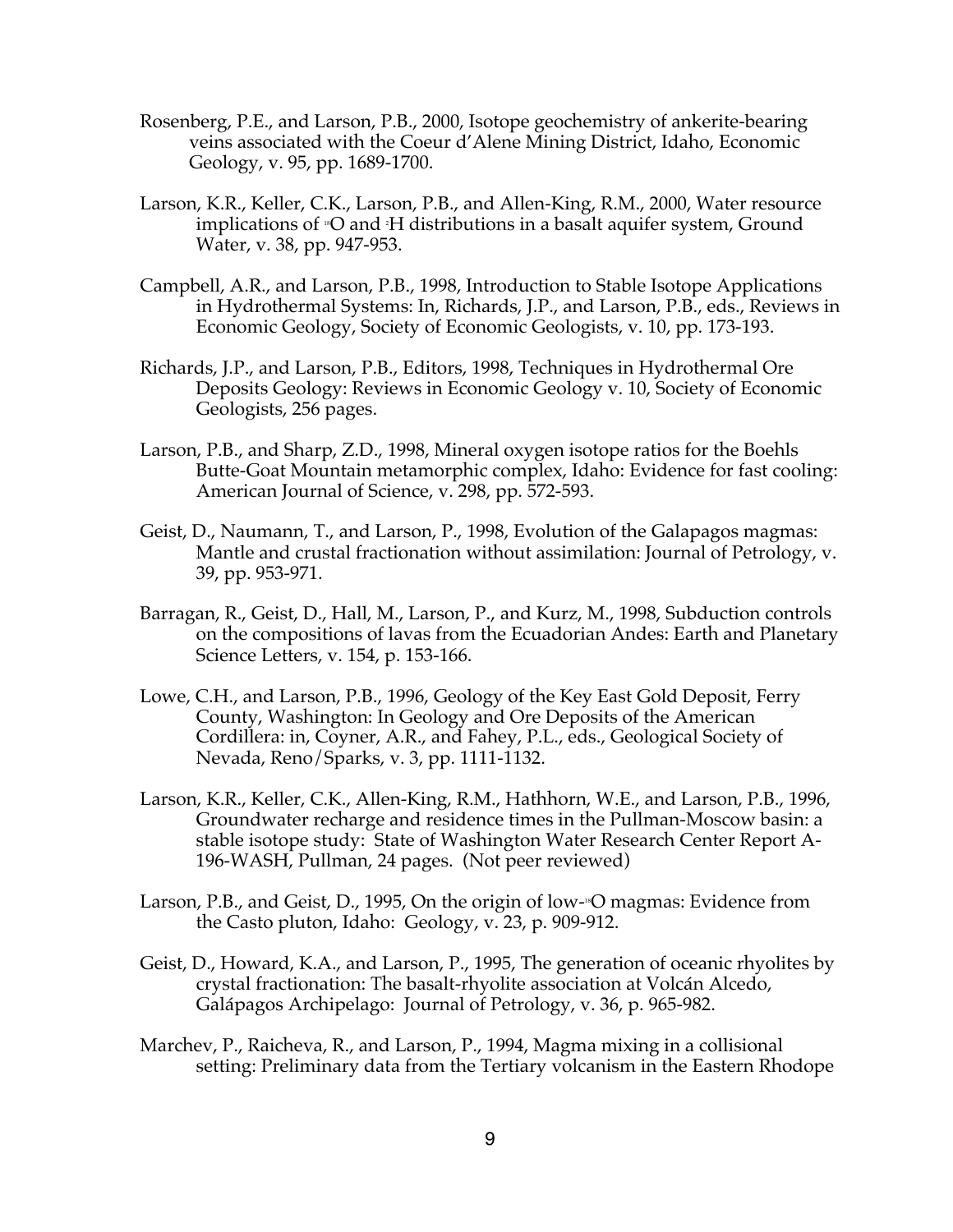- Rosenberg, P.E., and Larson, P.B., 2000, Isotope geochemistry of ankerite-bearing veins associated with the Coeur d'Alene Mining District, Idaho, Economic Geology, v. 95, pp. 1689-1700.
- Larson, K.R., Keller, C.K., Larson, P.B., and Allen-King, R.M., 2000, Water resource implications of <sub>"</sub>O and <sub>"</sub>H distributions in a basalt aquifer system, Ground Water, v. 38, pp. 947-953.
- Campbell, A.R., and Larson, P.B., 1998, Introduction to Stable Isotope Applications in Hydrothermal Systems: In, Richards, J.P., and Larson, P.B., eds., Reviews in Economic Geology, Society of Economic Geologists, v. 10, pp. 173-193.
- Richards, J.P., and Larson, P.B., Editors, 1998, Techniques in Hydrothermal Ore Deposits Geology: Reviews in Economic Geology v. 10, Society of Economic Geologists, 256 pages.
- Larson, P.B., and Sharp, Z.D., 1998, Mineral oxygen isotope ratios for the Boehls Butte-Goat Mountain metamorphic complex, Idaho: Evidence for fast cooling: American Journal of Science, v. 298, pp. 572-593.
- Geist, D., Naumann, T., and Larson, P., 1998, Evolution of the Galapagos magmas: Mantle and crustal fractionation without assimilation: Journal of Petrology, v. 39, pp. 953-971.
- Barragan, R., Geist, D., Hall, M., Larson, P., and Kurz, M., 1998, Subduction controls on the compositions of lavas from the Ecuadorian Andes: Earth and Planetary Science Letters, v. 154, p. 153-166.
- Lowe, C.H., and Larson, P.B., 1996, Geology of the Key East Gold Deposit, Ferry County, Washington: In Geology and Ore Deposits of the American Cordillera: in, Coyner, A.R., and Fahey, P.L., eds., Geological Society of Nevada, Reno/Sparks, v. 3, pp. 1111-1132.
- Larson, K.R., Keller, C.K., Allen-King, R.M., Hathhorn, W.E., and Larson, P.B., 1996, Groundwater recharge and residence times in the Pullman-Moscow basin: a stable isotope study: State of Washington Water Research Center Report A-196-WASH, Pullman, 24 pages. (Not peer reviewed)
- Larson, P.B., and Geist, D., 1995, On the origin of low- $\overline{S}$  magmas: Evidence from the Casto pluton, Idaho: Geology, v. 23, p. 909-912.
- Geist, D., Howard, K.A., and Larson, P., 1995, The generation of oceanic rhyolites by crystal fractionation: The basalt-rhyolite association at Volcán Alcedo, Galápagos Archipelago: Journal of Petrology, v. 36, p. 965-982.
- Marchev, P., Raicheva, R., and Larson, P., 1994, Magma mixing in a collisional setting: Preliminary data from the Tertiary volcanism in the Eastern Rhodope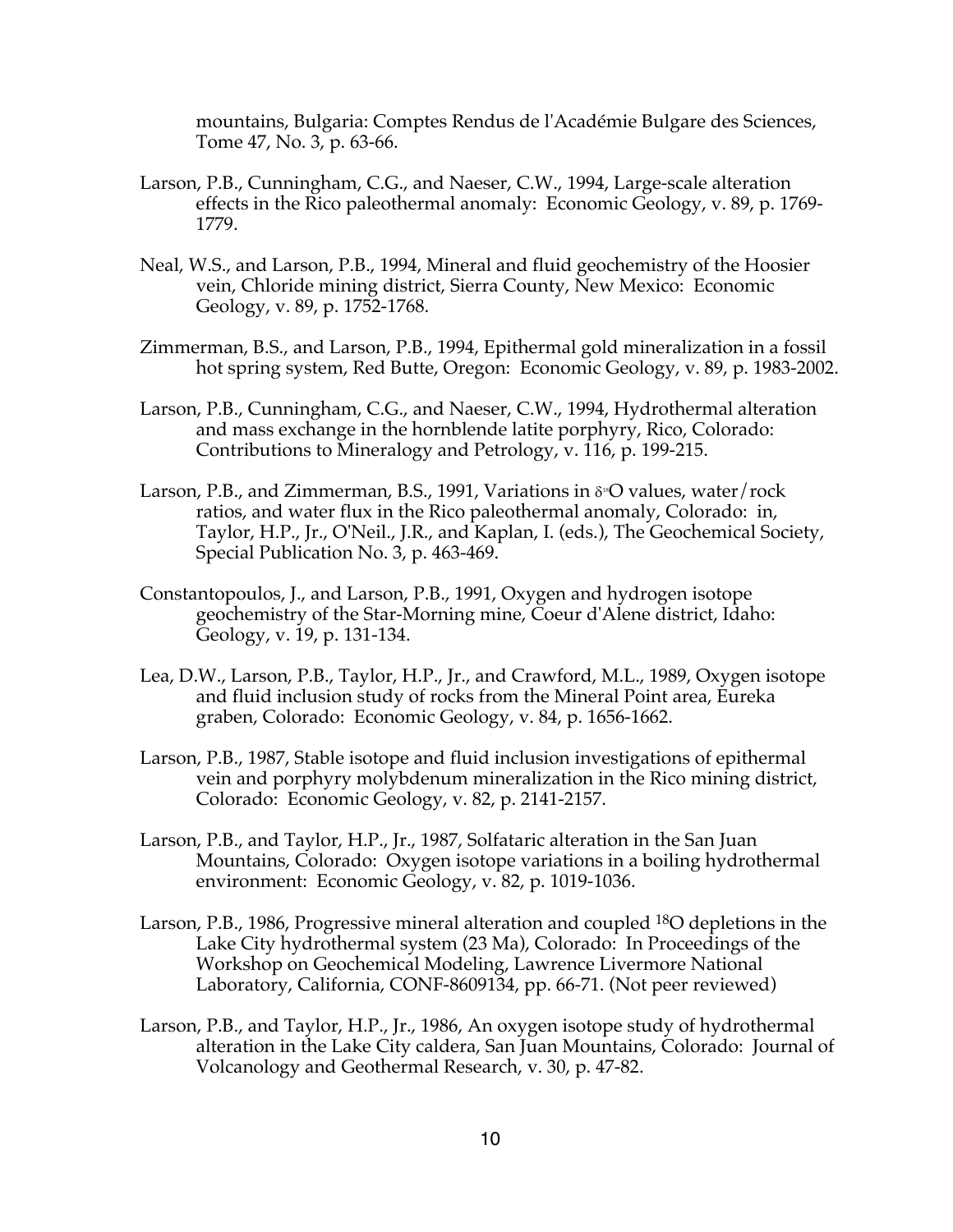mountains, Bulgaria: Comptes Rendus de l'Académie Bulgare des Sciences, Tome 47, No. 3, p. 63-66.

- Larson, P.B., Cunningham, C.G., and Naeser, C.W., 1994, Large-scale alteration effects in the Rico paleothermal anomaly: Economic Geology, v. 89, p. 1769- 1779.
- Neal, W.S., and Larson, P.B., 1994, Mineral and fluid geochemistry of the Hoosier vein, Chloride mining district, Sierra County, New Mexico: Economic Geology, v. 89, p. 1752-1768.
- Zimmerman, B.S., and Larson, P.B., 1994, Epithermal gold mineralization in a fossil hot spring system, Red Butte, Oregon: Economic Geology, v. 89, p. 1983-2002.
- Larson, P.B., Cunningham, C.G., and Naeser, C.W., 1994, Hydrothermal alteration and mass exchange in the hornblende latite porphyry, Rico, Colorado: Contributions to Mineralogy and Petrology, v. 116, p. 199-215.
- Larson, P.B., and Zimmerman, B.S., 1991, Variations in  $\delta$ <sup>8</sup>O values, water/rock ratios, and water flux in the Rico paleothermal anomaly, Colorado: in, Taylor, H.P., Jr., O'Neil., J.R., and Kaplan, I. (eds.), The Geochemical Society, Special Publication No. 3, p. 463-469.
- Constantopoulos, J., and Larson, P.B., 1991, Oxygen and hydrogen isotope geochemistry of the Star-Morning mine, Coeur d'Alene district, Idaho: Geology, v. 19, p. 131-134.
- Lea, D.W., Larson, P.B., Taylor, H.P., Jr., and Crawford, M.L., 1989, Oxygen isotope and fluid inclusion study of rocks from the Mineral Point area, Eureka graben, Colorado: Economic Geology, v. 84, p. 1656-1662.
- Larson, P.B., 1987, Stable isotope and fluid inclusion investigations of epithermal vein and porphyry molybdenum mineralization in the Rico mining district, Colorado: Economic Geology, v. 82, p. 2141-2157.
- Larson, P.B., and Taylor, H.P., Jr., 1987, Solfataric alteration in the San Juan Mountains, Colorado: Oxygen isotope variations in a boiling hydrothermal environment: Economic Geology, v. 82, p. 1019-1036.
- Larson, P.B., 1986, Progressive mineral alteration and coupled 18O depletions in the Lake City hydrothermal system (23 Ma), Colorado: In Proceedings of the Workshop on Geochemical Modeling, Lawrence Livermore National Laboratory, California, CONF-8609134, pp. 66-71. (Not peer reviewed)
- Larson, P.B., and Taylor, H.P., Jr., 1986, An oxygen isotope study of hydrothermal alteration in the Lake City caldera, San Juan Mountains, Colorado: Journal of Volcanology and Geothermal Research, v. 30, p. 47-82.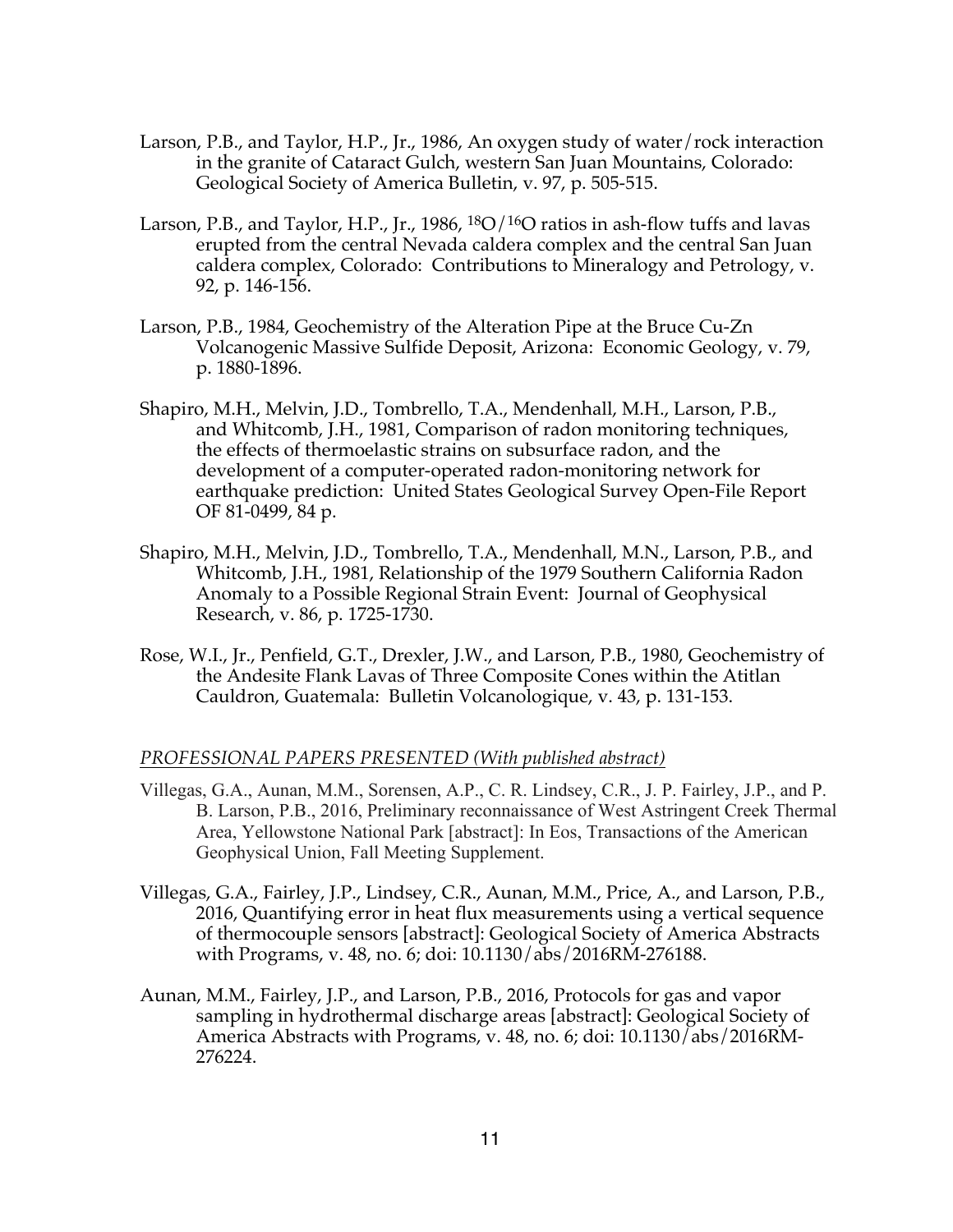- Larson, P.B., and Taylor, H.P., Jr., 1986, An oxygen study of water/rock interaction in the granite of Cataract Gulch, western San Juan Mountains, Colorado: Geological Society of America Bulletin, v. 97, p. 505-515.
- Larson, P.B., and Taylor, H.P., Jr., 1986,  ${}^{18}O/{}^{16}O$  ratios in ash-flow tuffs and lavas erupted from the central Nevada caldera complex and the central San Juan caldera complex, Colorado: Contributions to Mineralogy and Petrology, v. 92, p. 146-156.
- Larson, P.B., 1984, Geochemistry of the Alteration Pipe at the Bruce Cu-Zn Volcanogenic Massive Sulfide Deposit, Arizona: Economic Geology, v. 79, p. 1880-1896.
- Shapiro, M.H., Melvin, J.D., Tombrello, T.A., Mendenhall, M.H., Larson, P.B., and Whitcomb, J.H., 1981, Comparison of radon monitoring techniques, the effects of thermoelastic strains on subsurface radon, and the development of a computer-operated radon-monitoring network for earthquake prediction: United States Geological Survey Open-File Report OF 81-0499, 84 p.
- Shapiro, M.H., Melvin, J.D., Tombrello, T.A., Mendenhall, M.N., Larson, P.B., and Whitcomb, J.H., 1981, Relationship of the 1979 Southern California Radon Anomaly to a Possible Regional Strain Event: Journal of Geophysical Research, v. 86, p. 1725-1730.
- Rose, W.I., Jr., Penfield, G.T., Drexler, J.W., and Larson, P.B., 1980, Geochemistry of the Andesite Flank Lavas of Three Composite Cones within the Atitlan Cauldron, Guatemala: Bulletin Volcanologique, v. 43, p. 131-153.

## *PROFESSIONAL PAPERS PRESENTED (With published abstract)*

- Villegas, G.A., Aunan, M.M., Sorensen, A.P., C. R. Lindsey, C.R., J. P. Fairley, J.P., and P. B. Larson, P.B., 2016, Preliminary reconnaissance of West Astringent Creek Thermal Area, Yellowstone National Park [abstract]: In Eos, Transactions of the American Geophysical Union, Fall Meeting Supplement.
- Villegas, G.A., Fairley, J.P., Lindsey, C.R., Aunan, M.M., Price, A., and Larson, P.B., 2016, Quantifying error in heat flux measurements using a vertical sequence of thermocouple sensors [abstract]: Geological Society of America Abstracts with Programs, v. 48, no. 6; doi: 10.1130/abs/2016RM-276188.
- Aunan, M.M., Fairley, J.P., and Larson, P.B., 2016, Protocols for gas and vapor sampling in hydrothermal discharge areas [abstract]: Geological Society of America Abstracts with Programs, v. 48, no. 6; doi: 10.1130/abs/2016RM-276224.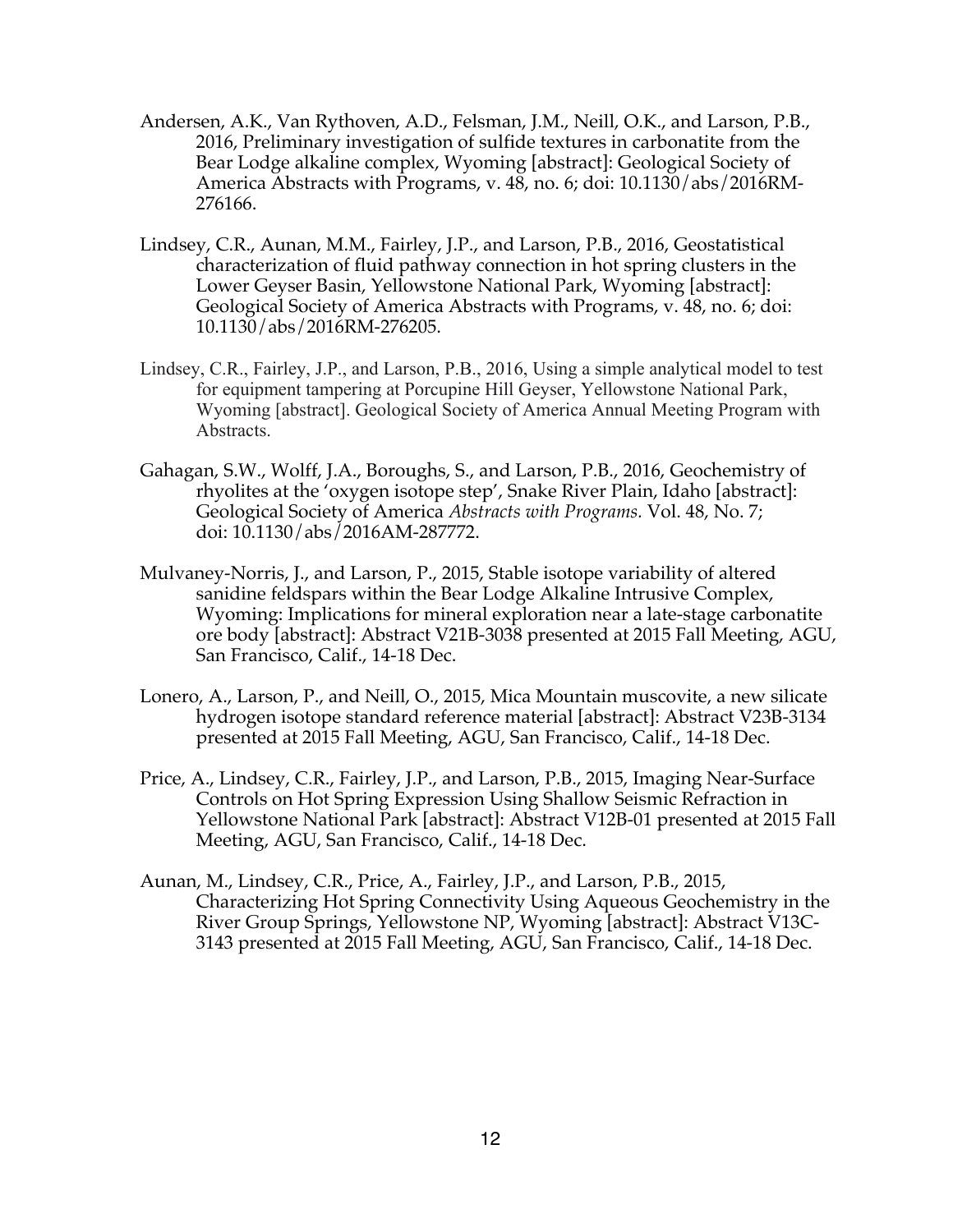- Andersen, A.K., Van Rythoven, A.D., Felsman, J.M., Neill, O.K., and Larson, P.B., 2016, Preliminary investigation of sulfide textures in carbonatite from the Bear Lodge alkaline complex, Wyoming [abstract]: Geological Society of America Abstracts with Programs, v. 48, no. 6; doi: 10.1130/abs/2016RM-276166.
- Lindsey, C.R., Aunan, M.M., Fairley, J.P., and Larson, P.B., 2016, Geostatistical characterization of fluid pathway connection in hot spring clusters in the Lower Geyser Basin, Yellowstone National Park, Wyoming [abstract]: Geological Society of America Abstracts with Programs, v. 48, no. 6; doi: 10.1130/abs/2016RM-276205.
- Lindsey, C.R., Fairley, J.P., and Larson, P.B., 2016, Using a simple analytical model to test for equipment tampering at Porcupine Hill Geyser, Yellowstone National Park, Wyoming [abstract]. Geological Society of America Annual Meeting Program with Abstracts.
- Gahagan, S.W., Wolff, J.A., Boroughs, S., and Larson, P.B., 2016, Geochemistry of rhyolites at the 'oxygen isotope step', Snake River Plain, Idaho [abstract]: Geological Society of America *Abstracts with Programs.* Vol. 48, No. 7; doi: 10.1130/abs/2016AM-287772.
- Mulvaney-Norris, J., and Larson, P., 2015, Stable isotope variability of altered sanidine feldspars within the Bear Lodge Alkaline Intrusive Complex, Wyoming: Implications for mineral exploration near a late-stage carbonatite ore body [abstract]: Abstract V21B-3038 presented at 2015 Fall Meeting, AGU, San Francisco, Calif., 14-18 Dec.
- Lonero, A., Larson, P., and Neill, O., 2015, Mica Mountain muscovite, a new silicate hydrogen isotope standard reference material [abstract]: Abstract V23B-3134 presented at 2015 Fall Meeting, AGU, San Francisco, Calif., 14-18 Dec.
- Price, A., Lindsey, C.R., Fairley, J.P., and Larson, P.B., 2015, Imaging Near-Surface Controls on Hot Spring Expression Using Shallow Seismic Refraction in Yellowstone National Park [abstract]: Abstract V12B-01 presented at 2015 Fall Meeting, AGU, San Francisco, Calif., 14-18 Dec.
- Aunan, M., Lindsey, C.R., Price, A., Fairley, J.P., and Larson, P.B., 2015, Characterizing Hot Spring Connectivity Using Aqueous Geochemistry in the River Group Springs, Yellowstone NP, Wyoming [abstract]: Abstract V13C-3143 presented at 2015 Fall Meeting, AGU, San Francisco, Calif., 14-18 Dec.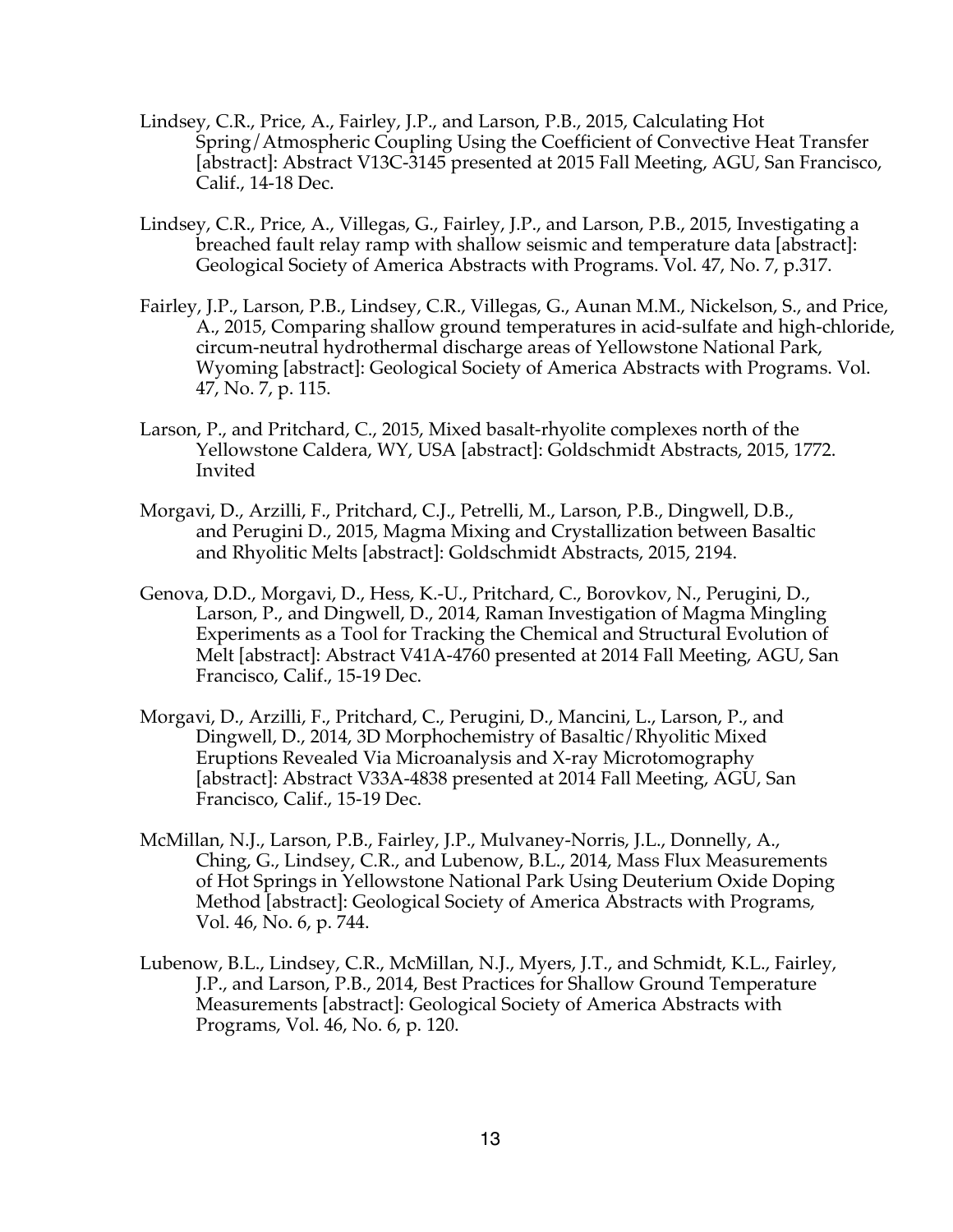- Lindsey, C.R., Price, A., Fairley, J.P., and Larson, P.B., 2015, Calculating Hot Spring/Atmospheric Coupling Using the Coefficient of Convective Heat Transfer [abstract]: Abstract V13C-3145 presented at 2015 Fall Meeting, AGU, San Francisco, Calif., 14-18 Dec.
- Lindsey, C.R., Price, A., Villegas, G., Fairley, J.P., and Larson, P.B., 2015, Investigating a breached fault relay ramp with shallow seismic and temperature data [abstract]: Geological Society of America Abstracts with Programs. Vol. 47, No. 7, p.317.
- Fairley, J.P., Larson, P.B., Lindsey, C.R., Villegas, G., Aunan M.M., Nickelson, S., and Price, A., 2015, Comparing shallow ground temperatures in acid-sulfate and high-chloride, circum-neutral hydrothermal discharge areas of Yellowstone National Park, Wyoming [abstract]: Geological Society of America Abstracts with Programs. Vol. 47, No. 7, p. 115.
- Larson, P., and Pritchard, C., 2015, Mixed basalt-rhyolite complexes north of the Yellowstone Caldera, WY, USA [abstract]: Goldschmidt Abstracts, 2015, 1772. Invited
- Morgavi, D., Arzilli, F., Pritchard, C.J., Petrelli, M., Larson, P.B., Dingwell, D.B., and Perugini D., 2015, Magma Mixing and Crystallization between Basaltic and Rhyolitic Melts [abstract]: Goldschmidt Abstracts, 2015, 2194.
- Genova, D.D., Morgavi, D., Hess, K.-U., Pritchard, C., Borovkov, N., Perugini, D., Larson, P., and Dingwell, D., 2014, Raman Investigation of Magma Mingling Experiments as a Tool for Tracking the Chemical and Structural Evolution of Melt [abstract]: Abstract V41A-4760 presented at 2014 Fall Meeting, AGU, San Francisco, Calif., 15-19 Dec.
- Morgavi, D., Arzilli, F., Pritchard, C., Perugini, D., Mancini, L., Larson, P., and Dingwell, D., 2014, 3D Morphochemistry of Basaltic/Rhyolitic Mixed Eruptions Revealed Via Microanalysis and X-ray Microtomography [abstract]: Abstract V33A-4838 presented at 2014 Fall Meeting, AGU, San Francisco, Calif., 15-19 Dec.
- McMillan, N.J., Larson, P.B., Fairley, J.P., Mulvaney-Norris, J.L., Donnelly, A., Ching, G., Lindsey, C.R., and Lubenow, B.L., 2014, Mass Flux Measurements of Hot Springs in Yellowstone National Park Using Deuterium Oxide Doping Method [abstract]: Geological Society of America Abstracts with Programs, Vol. 46, No. 6, p. 744.
- Lubenow, B.L., Lindsey, C.R., McMillan, N.J., Myers, J.T., and Schmidt, K.L., Fairley, J.P., and Larson, P.B., 2014, Best Practices for Shallow Ground Temperature Measurements [abstract]: Geological Society of America Abstracts with Programs, Vol. 46, No. 6, p. 120.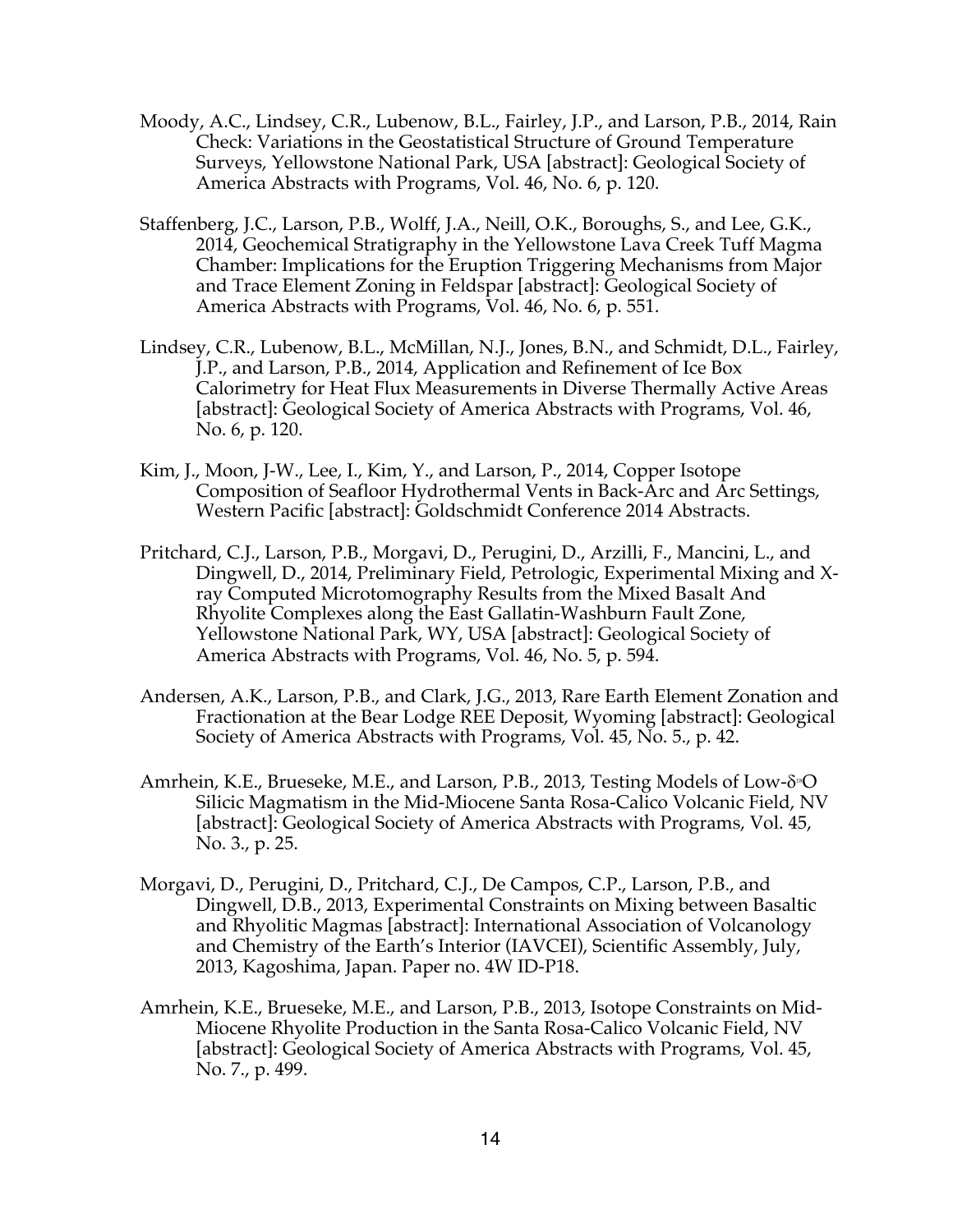- Moody, A.C., Lindsey, C.R., Lubenow, B.L., Fairley, J.P., and Larson, P.B., 2014, Rain Check: Variations in the Geostatistical Structure of Ground Temperature Surveys, Yellowstone National Park, USA [abstract]: Geological Society of America Abstracts with Programs, Vol. 46, No. 6, p. 120.
- Staffenberg, J.C., Larson, P.B., Wolff, J.A., Neill, O.K., Boroughs, S., and Lee, G.K., 2014, Geochemical Stratigraphy in the Yellowstone Lava Creek Tuff Magma Chamber: Implications for the Eruption Triggering Mechanisms from Major and Trace Element Zoning in Feldspar [abstract]: Geological Society of America Abstracts with Programs, Vol. 46, No. 6, p. 551.
- Lindsey, C.R., Lubenow, B.L., McMillan, N.J., Jones, B.N., and Schmidt, D.L., Fairley, J.P., and Larson, P.B., 2014, Application and Refinement of Ice Box Calorimetry for Heat Flux Measurements in Diverse Thermally Active Areas [abstract]: Geological Society of America Abstracts with Programs, Vol. 46, No. 6, p. 120.
- Kim, J., Moon, J-W., Lee, I., Kim, Y., and Larson, P., 2014, Copper Isotope Composition of Seafloor Hydrothermal Vents in Back-Arc and Arc Settings, Western Pacific [abstract]: Goldschmidt Conference 2014 Abstracts.
- Pritchard, C.J., Larson, P.B., Morgavi, D., Perugini, D., Arzilli, F., Mancini, L., and Dingwell, D., 2014, Preliminary Field, Petrologic, Experimental Mixing and Xray Computed Microtomography Results from the Mixed Basalt And Rhyolite Complexes along the East Gallatin-Washburn Fault Zone, Yellowstone National Park, WY, USA [abstract]: Geological Society of America Abstracts with Programs, Vol. 46, No. 5, p. 594.
- Andersen, A.K., Larson, P.B., and Clark, J.G., 2013, Rare Earth Element Zonation and Fractionation at the Bear Lodge REE Deposit, Wyoming [abstract]: Geological Society of America Abstracts with Programs, Vol. 45, No. 5., p. 42.
- Amrhein, K.E., Brueseke, M.E., and Larson, P.B., 2013, Testing Models of Low- $\delta$ <sup>8</sup>O Silicic Magmatism in the Mid-Miocene Santa Rosa-Calico Volcanic Field, NV [abstract]: Geological Society of America Abstracts with Programs, Vol. 45, No. 3., p. 25.
- Morgavi, D., Perugini, D., Pritchard, C.J., De Campos, C.P., Larson, P.B., and Dingwell, D.B., 2013, Experimental Constraints on Mixing between Basaltic and Rhyolitic Magmas [abstract]: International Association of Volcanology and Chemistry of the Earth's Interior (IAVCEI), Scientific Assembly, July, 2013, Kagoshima, Japan. Paper no. 4W ID-P18.
- Amrhein, K.E., Brueseke, M.E., and Larson, P.B., 2013, Isotope Constraints on Mid-Miocene Rhyolite Production in the Santa Rosa-Calico Volcanic Field, NV [abstract]: Geological Society of America Abstracts with Programs, Vol. 45, No. 7., p. 499.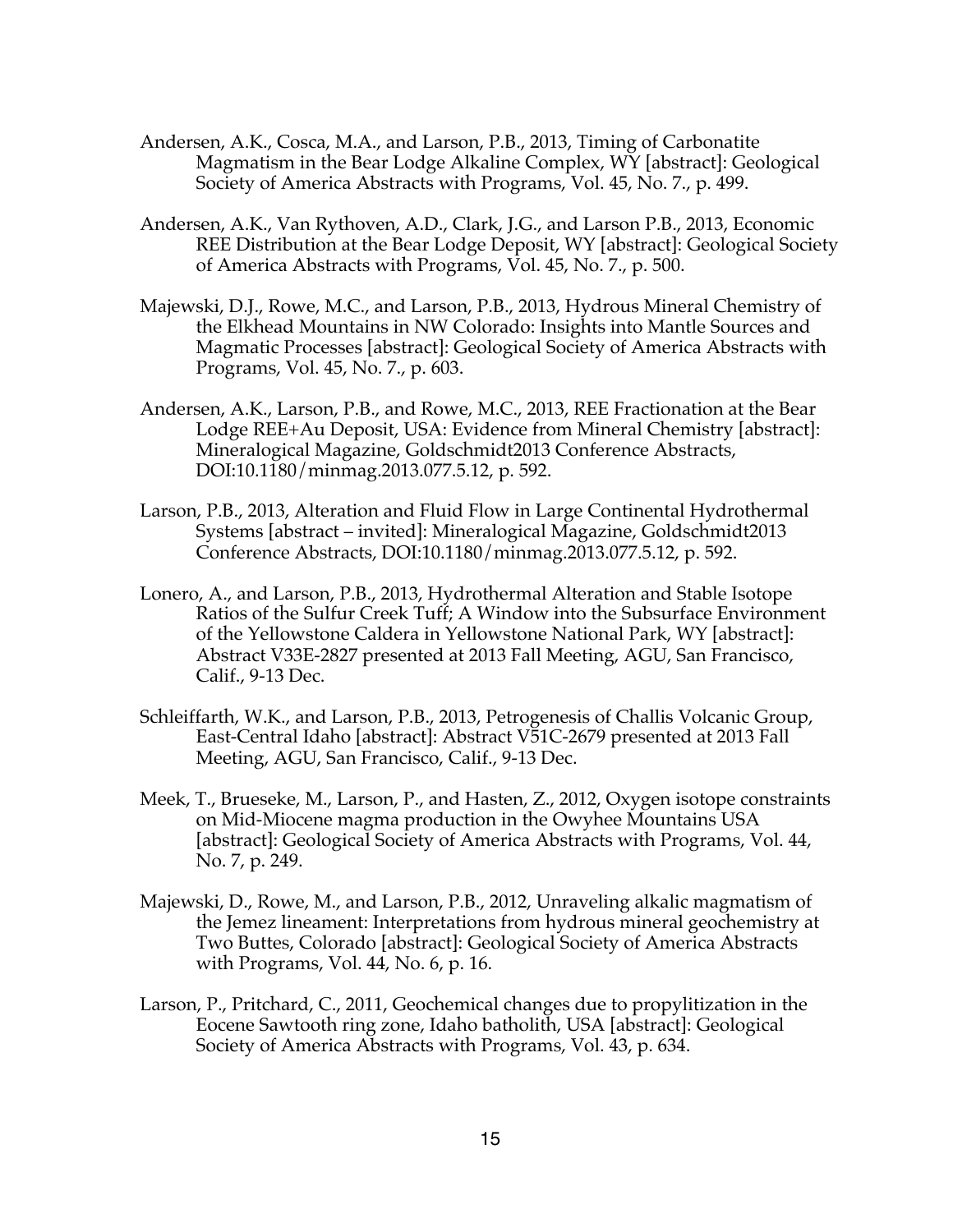- Andersen, A.K., Cosca, M.A., and Larson, P.B., 2013, Timing of Carbonatite Magmatism in the Bear Lodge Alkaline Complex, WY [abstract]: Geological Society of America Abstracts with Programs, Vol. 45, No. 7., p. 499.
- Andersen, A.K., Van Rythoven, A.D., Clark, J.G., and Larson P.B., 2013, Economic REE Distribution at the Bear Lodge Deposit, WY [abstract]: Geological Society of America Abstracts with Programs, Vol. 45, No. 7., p. 500.
- Majewski, D.J., Rowe, M.C., and Larson, P.B., 2013, Hydrous Mineral Chemistry of the Elkhead Mountains in NW Colorado: Insights into Mantle Sources and Magmatic Processes [abstract]: Geological Society of America Abstracts with Programs, Vol. 45, No. 7., p. 603.
- Andersen, A.K., Larson, P.B., and Rowe, M.C., 2013, REE Fractionation at the Bear Lodge REE+Au Deposit, USA: Evidence from Mineral Chemistry [abstract]: Mineralogical Magazine, Goldschmidt2013 Conference Abstracts, DOI:10.1180/minmag.2013.077.5.12, p. 592.
- Larson, P.B., 2013, Alteration and Fluid Flow in Large Continental Hydrothermal Systems [abstract – invited]: Mineralogical Magazine, Goldschmidt2013 Conference Abstracts, DOI:10.1180/minmag.2013.077.5.12, p. 592.
- Lonero, A., and Larson, P.B., 2013, Hydrothermal Alteration and Stable Isotope Ratios of the Sulfur Creek Tuff; A Window into the Subsurface Environment of the Yellowstone Caldera in Yellowstone National Park, WY [abstract]: Abstract V33E-2827 presented at 2013 Fall Meeting, AGU, San Francisco, Calif., 9-13 Dec.
- Schleiffarth, W.K., and Larson, P.B., 2013, Petrogenesis of Challis Volcanic Group, East-Central Idaho [abstract]: Abstract V51C-2679 presented at 2013 Fall Meeting, AGU, San Francisco, Calif., 9-13 Dec.
- Meek, T., Brueseke, M., Larson, P., and Hasten, Z., 2012, Oxygen isotope constraints on Mid-Miocene magma production in the Owyhee Mountains USA [abstract]: Geological Society of America Abstracts with Programs, Vol. 44, No. 7, p. 249.
- Majewski, D., Rowe, M., and Larson, P.B., 2012, Unraveling alkalic magmatism of the Jemez lineament: Interpretations from hydrous mineral geochemistry at Two Buttes, Colorado [abstract]: Geological Society of America Abstracts with Programs, Vol. 44, No. 6, p. 16.
- Larson, P., Pritchard, C., 2011, Geochemical changes due to propylitization in the Eocene Sawtooth ring zone, Idaho batholith, USA [abstract]: Geological Society of America Abstracts with Programs, Vol. 43, p. 634.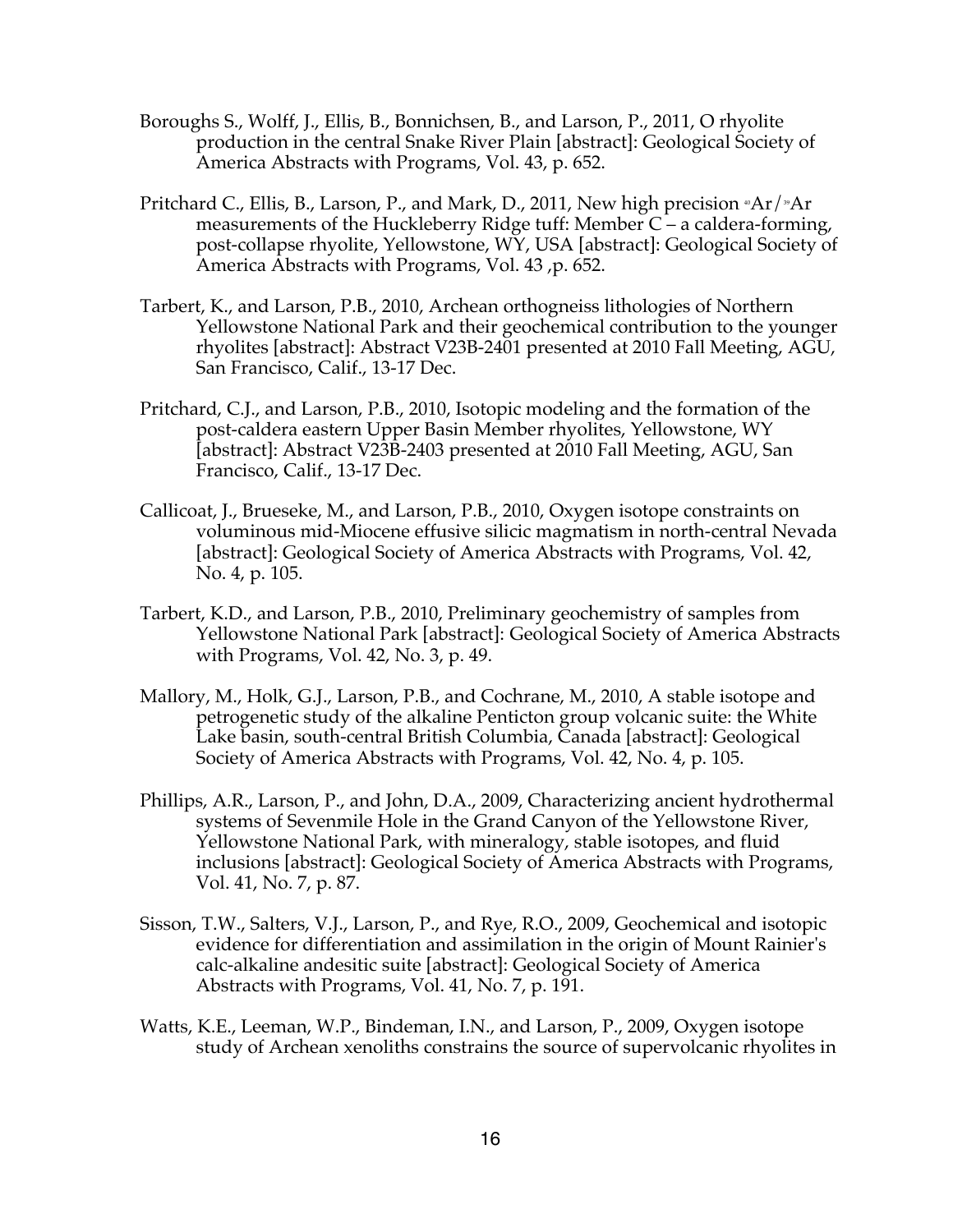- Boroughs S., Wolff, J., Ellis, B., Bonnichsen, B., and Larson, P., 2011, O rhyolite production in the central Snake River Plain [abstract]: Geological Society of America Abstracts with Programs, Vol. 43, p. 652.
- Pritchard C., Ellis, B., Larson, P., and Mark, D., 2011, New high precision  $\mathbb{R}$ Ar $/\mathbb{R}$ Ar measurements of the Huckleberry Ridge tuff: Member C – a caldera-forming, post-collapse rhyolite, Yellowstone, WY, USA [abstract]: Geological Society of America Abstracts with Programs, Vol. 43 ,p. 652.
- Tarbert, K., and Larson, P.B., 2010, Archean orthogneiss lithologies of Northern Yellowstone National Park and their geochemical contribution to the younger rhyolites [abstract]: Abstract V23B-2401 presented at 2010 Fall Meeting, AGU, San Francisco, Calif., 13-17 Dec.
- Pritchard, C.J., and Larson, P.B., 2010, Isotopic modeling and the formation of the post-caldera eastern Upper Basin Member rhyolites, Yellowstone, WY [abstract]: Abstract V23B-2403 presented at 2010 Fall Meeting, AGU, San Francisco, Calif., 13-17 Dec.
- Callicoat, J., Brueseke, M., and Larson, P.B., 2010, Oxygen isotope constraints on voluminous mid-Miocene effusive silicic magmatism in north-central Nevada [abstract]: Geological Society of America Abstracts with Programs, Vol. 42, No. 4, p. 105.
- Tarbert, K.D., and Larson, P.B., 2010, Preliminary geochemistry of samples from Yellowstone National Park [abstract]: Geological Society of America Abstracts with Programs, Vol. 42, No. 3, p. 49.
- Mallory, M., Holk, G.J., Larson, P.B., and Cochrane, M., 2010, A stable isotope and petrogenetic study of the alkaline Penticton group volcanic suite: the White Lake basin, south-central British Columbia, Canada [abstract]: Geological Society of America Abstracts with Programs, Vol. 42, No. 4, p. 105.
- Phillips, A.R., Larson, P., and John, D.A., 2009, Characterizing ancient hydrothermal systems of Sevenmile Hole in the Grand Canyon of the Yellowstone River, Yellowstone National Park, with mineralogy, stable isotopes, and fluid inclusions [abstract]: Geological Society of America Abstracts with Programs, Vol. 41, No. 7, p. 87.
- Sisson, T.W., Salters, V.J., Larson, P., and Rye, R.O., 2009, Geochemical and isotopic evidence for differentiation and assimilation in the origin of Mount Rainier's calc-alkaline andesitic suite [abstract]: Geological Society of America Abstracts with Programs, Vol. 41, No. 7, p. 191.
- Watts, K.E., Leeman, W.P., Bindeman, I.N., and Larson, P., 2009, Oxygen isotope study of Archean xenoliths constrains the source of supervolcanic rhyolites in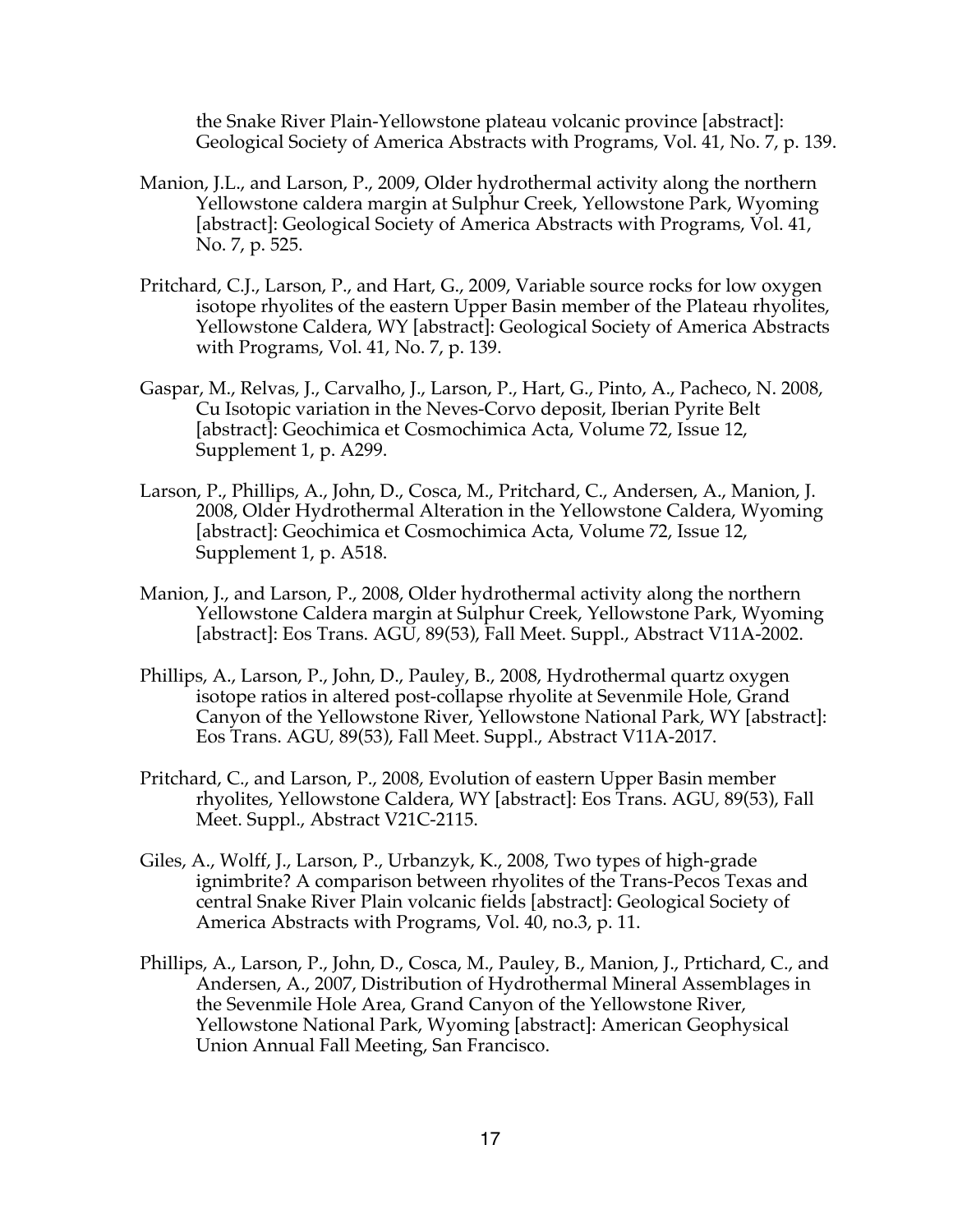the Snake River Plain-Yellowstone plateau volcanic province [abstract]: Geological Society of America Abstracts with Programs, Vol. 41, No. 7, p. 139.

- Manion, J.L., and Larson, P., 2009, Older hydrothermal activity along the northern Yellowstone caldera margin at Sulphur Creek, Yellowstone Park, Wyoming [abstract]: Geological Society of America Abstracts with Programs, Vol. 41, No. 7, p. 525.
- Pritchard, C.J., Larson, P., and Hart, G., 2009, Variable source rocks for low oxygen isotope rhyolites of the eastern Upper Basin member of the Plateau rhyolites, Yellowstone Caldera, WY [abstract]: Geological Society of America Abstracts with Programs, Vol. 41, No. 7, p. 139.
- Gaspar, M., Relvas, J., Carvalho, J., Larson, P., Hart, G., Pinto, A., Pacheco, N. 2008, Cu Isotopic variation in the Neves-Corvo deposit, Iberian Pyrite Belt [abstract]: Geochimica et Cosmochimica Acta, Volume 72, Issue 12, Supplement 1, p. A299.
- Larson, P., Phillips, A., John, D., Cosca, M., Pritchard, C., Andersen, A., Manion, J. 2008, Older Hydrothermal Alteration in the Yellowstone Caldera, Wyoming [abstract]: Geochimica et Cosmochimica Acta, Volume 72, Issue 12, Supplement 1, p. A518.
- Manion, J., and Larson, P., 2008, Older hydrothermal activity along the northern Yellowstone Caldera margin at Sulphur Creek, Yellowstone Park, Wyoming [abstract]: Eos Trans. AGU*,* 89(53), Fall Meet. Suppl., Abstract V11A-2002.
- Phillips, A., Larson, P., John, D., Pauley, B., 2008, Hydrothermal quartz oxygen isotope ratios in altered post-collapse rhyolite at Sevenmile Hole, Grand Canyon of the Yellowstone River, Yellowstone National Park, WY [abstract]: Eos Trans. AGU*,* 89(53), Fall Meet. Suppl., Abstract V11A-2017.
- Pritchard, C., and Larson, P., 2008, Evolution of eastern Upper Basin member rhyolites, Yellowstone Caldera, WY [abstract]: Eos Trans. AGU*,* 89(53), Fall Meet. Suppl., Abstract V21C-2115.
- Giles, A., Wolff, J., Larson, P., Urbanzyk, K., 2008, Two types of high-grade ignimbrite? A comparison between rhyolites of the Trans-Pecos Texas and central Snake River Plain volcanic fields [abstract]: Geological Society of America Abstracts with Programs, Vol. 40, no.3, p. 11.
- Phillips, A., Larson, P., John, D., Cosca, M., Pauley, B., Manion, J., Prtichard, C., and Andersen, A., 2007, Distribution of Hydrothermal Mineral Assemblages in the Sevenmile Hole Area, Grand Canyon of the Yellowstone River, Yellowstone National Park, Wyoming [abstract]: American Geophysical Union Annual Fall Meeting, San Francisco.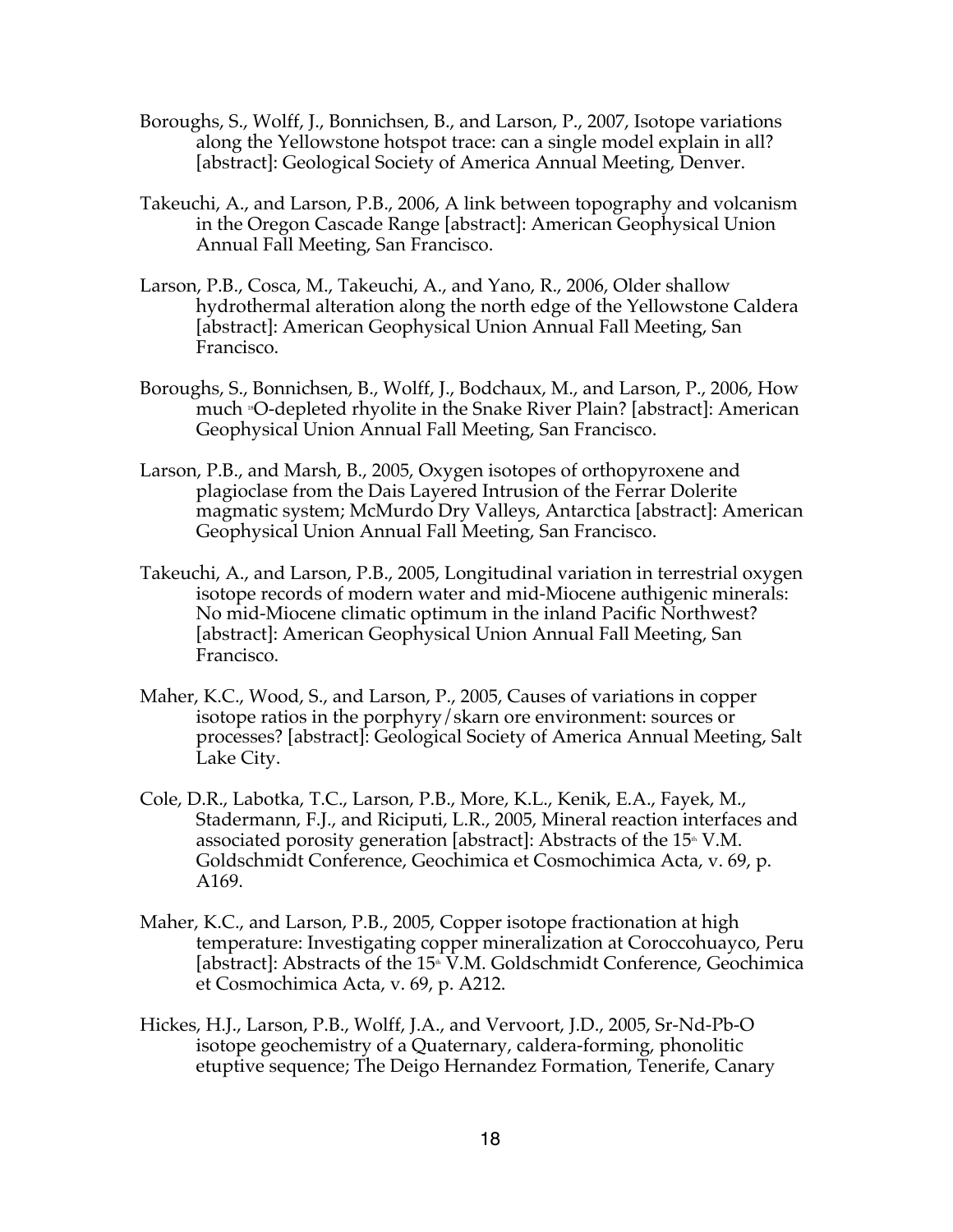- Boroughs, S., Wolff, J., Bonnichsen, B., and Larson, P., 2007, Isotope variations along the Yellowstone hotspot trace: can a single model explain in all? [abstract]: Geological Society of America Annual Meeting, Denver.
- Takeuchi, A., and Larson, P.B., 2006, A link between topography and volcanism in the Oregon Cascade Range [abstract]: American Geophysical Union Annual Fall Meeting, San Francisco.
- Larson, P.B., Cosca, M., Takeuchi, A., and Yano, R., 2006, Older shallow hydrothermal alteration along the north edge of the Yellowstone Caldera [abstract]: American Geophysical Union Annual Fall Meeting, San Francisco.
- Boroughs, S., Bonnichsen, B., Wolff, J., Bodchaux, M., and Larson, P., 2006, How much 18O-depleted rhyolite in the Snake River Plain? [abstract]: American Geophysical Union Annual Fall Meeting, San Francisco.
- Larson, P.B., and Marsh, B., 2005, Oxygen isotopes of orthopyroxene and plagioclase from the Dais Layered Intrusion of the Ferrar Dolerite magmatic system; McMurdo Dry Valleys, Antarctica [abstract]: American Geophysical Union Annual Fall Meeting, San Francisco.
- Takeuchi, A., and Larson, P.B., 2005, Longitudinal variation in terrestrial oxygen isotope records of modern water and mid-Miocene authigenic minerals: No mid-Miocene climatic optimum in the inland Pacific Northwest? [abstract]: American Geophysical Union Annual Fall Meeting, San Francisco.
- Maher, K.C., Wood, S., and Larson, P., 2005, Causes of variations in copper isotope ratios in the porphyry/skarn ore environment: sources or processes? [abstract]: Geological Society of America Annual Meeting, Salt Lake City.
- Cole, D.R., Labotka, T.C., Larson, P.B., More, K.L., Kenik, E.A., Fayek, M., Stadermann, F.J., and Riciputi, L.R., 2005, Mineral reaction interfaces and associated porosity generation [abstract]: Abstracts of the  $15^{\text{th}}$  V.M. Goldschmidt Conference, Geochimica et Cosmochimica Acta, v. 69, p. A169.
- Maher, K.C., and Larson, P.B., 2005, Copper isotope fractionation at high temperature: Investigating copper mineralization at Coroccohuayco, Peru [abstract]: Abstracts of the 15<sup>th</sup> V.M. Goldschmidt Conference, Geochimica et Cosmochimica Acta, v. 69, p. A212.
- Hickes, H.J., Larson, P.B., Wolff, J.A., and Vervoort, J.D., 2005, Sr-Nd-Pb-O isotope geochemistry of a Quaternary, caldera-forming, phonolitic etuptive sequence; The Deigo Hernandez Formation, Tenerife, Canary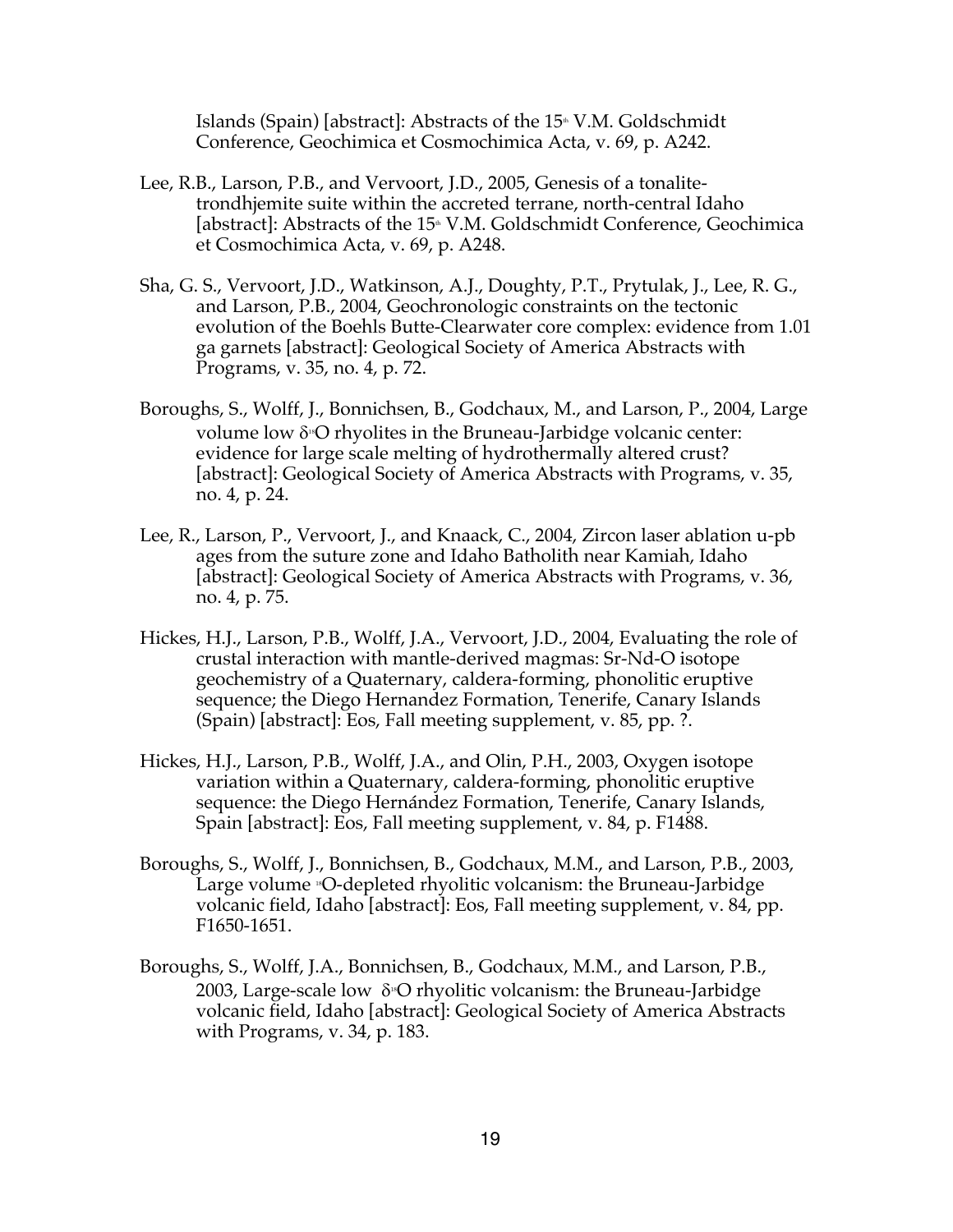Islands (Spain) [abstract]: Abstracts of the  $15^{\text{th}}$  V.M. Goldschmidt Conference, Geochimica et Cosmochimica Acta, v. 69, p. A242.

- Lee, R.B., Larson, P.B., and Vervoort, J.D., 2005, Genesis of a tonalitetrondhjemite suite within the accreted terrane, north-central Idaho [abstract]: Abstracts of the 15<sup>th</sup> V.M. Goldschmidt Conference, Geochimica et Cosmochimica Acta, v. 69, p. A248.
- Sha, G. S., Vervoort, J.D., Watkinson, A.J., Doughty, P.T., Prytulak, J., Lee, R. G., and Larson, P.B., 2004, Geochronologic constraints on the tectonic evolution of the Boehls Butte-Clearwater core complex: evidence from 1.01 ga garnets [abstract]: Geological Society of America Abstracts with Programs, v. 35, no. 4, p. 72.
- Boroughs, S., Wolff, J., Bonnichsen, B., Godchaux, M., and Larson, P., 2004, Large volume low  $\delta$ <sup>8</sup>O rhyolites in the Bruneau-Jarbidge volcanic center: evidence for large scale melting of hydrothermally altered crust? [abstract]: Geological Society of America Abstracts with Programs, v. 35, no. 4, p. 24.
- Lee, R., Larson, P., Vervoort, J., and Knaack, C., 2004, Zircon laser ablation u-pb ages from the suture zone and Idaho Batholith near Kamiah, Idaho [abstract]: Geological Society of America Abstracts with Programs, v. 36, no. 4, p. 75.
- Hickes, H.J., Larson, P.B., Wolff, J.A., Vervoort, J.D., 2004, Evaluating the role of crustal interaction with mantle-derived magmas: Sr-Nd-O isotope geochemistry of a Quaternary, caldera-forming, phonolitic eruptive sequence; the Diego Hernandez Formation, Tenerife, Canary Islands (Spain) [abstract]: Eos, Fall meeting supplement, v. 85, pp. ?.
- Hickes, H.J., Larson, P.B., Wolff, J.A., and Olin, P.H., 2003, Oxygen isotope variation within a Quaternary, caldera-forming, phonolitic eruptive sequence: the Diego Hernández Formation, Tenerife, Canary Islands, Spain [abstract]: Eos, Fall meeting supplement, v. 84, p. F1488.
- Boroughs, S., Wolff, J., Bonnichsen, B., Godchaux, M.M., and Larson, P.B., 2003, Large volume <sup>®</sup>O-depleted rhyolitic volcanism: the Bruneau-Jarbidge volcanic field, Idaho [abstract]: Eos, Fall meeting supplement, v. 84, pp. F1650-1651.
- Boroughs, S., Wolff, J.A., Bonnichsen, B., Godchaux, M.M., and Larson, P.B., 2003, Large-scale low  $\delta$ <sup>®</sup>O rhyolitic volcanism: the Bruneau-Jarbidge volcanic field, Idaho [abstract]: Geological Society of America Abstracts with Programs, v. 34, p. 183.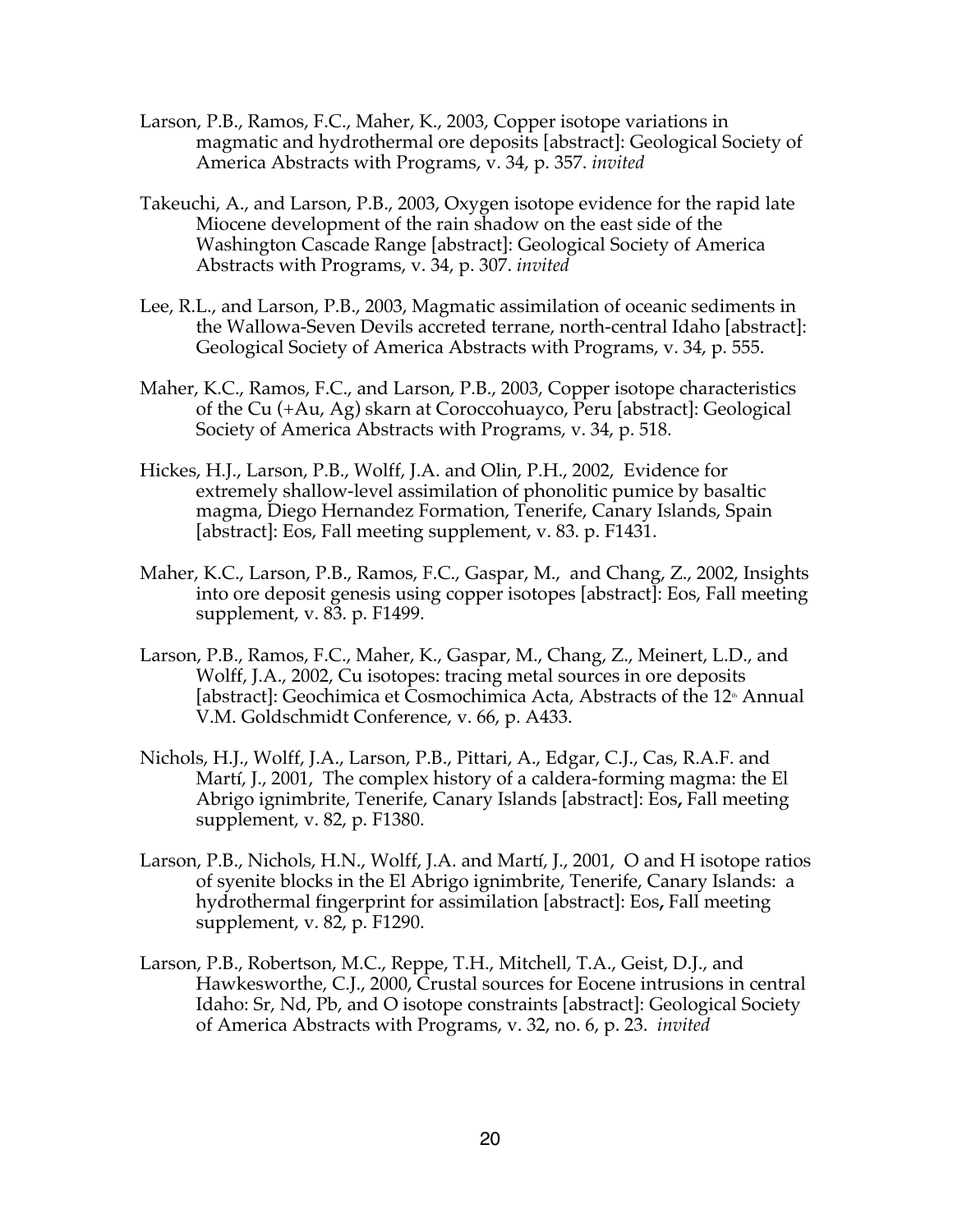- Larson, P.B., Ramos, F.C., Maher, K., 2003, Copper isotope variations in magmatic and hydrothermal ore deposits [abstract]: Geological Society of America Abstracts with Programs, v. 34, p. 357. *invited*
- Takeuchi, A., and Larson, P.B., 2003, Oxygen isotope evidence for the rapid late Miocene development of the rain shadow on the east side of the Washington Cascade Range [abstract]: Geological Society of America Abstracts with Programs, v. 34, p. 307. *invited*
- Lee, R.L., and Larson, P.B., 2003, Magmatic assimilation of oceanic sediments in the Wallowa-Seven Devils accreted terrane, north-central Idaho [abstract]: Geological Society of America Abstracts with Programs, v. 34, p. 555.
- Maher, K.C., Ramos, F.C., and Larson, P.B., 2003, Copper isotope characteristics of the Cu (+Au, Ag) skarn at Coroccohuayco, Peru [abstract]: Geological Society of America Abstracts with Programs, v. 34, p. 518.
- Hickes, H.J., Larson, P.B., Wolff, J.A. and Olin, P.H., 2002, Evidence for extremely shallow-level assimilation of phonolitic pumice by basaltic magma, Diego Hernandez Formation, Tenerife, Canary Islands, Spain [abstract]: Eos, Fall meeting supplement, v. 83. p. F1431.
- Maher, K.C., Larson, P.B., Ramos, F.C., Gaspar, M., and Chang, Z., 2002, Insights into ore deposit genesis using copper isotopes [abstract]: Eos, Fall meeting supplement, v. 83. p. F1499.
- Larson, P.B., Ramos, F.C., Maher, K., Gaspar, M., Chang, Z., Meinert, L.D., and Wolff, J.A., 2002, Cu isotopes: tracing metal sources in ore deposits [abstract]: Geochimica et Cosmochimica Acta, Abstracts of the 12<sup>th</sup> Annual V.M. Goldschmidt Conference, v. 66, p. A433.
- Nichols, H.J., Wolff, J.A., Larson, P.B., Pittari, A., Edgar, C.J., Cas, R.A.F. and Martí, J., 2001, The complex history of a caldera-forming magma: the El Abrigo ignimbrite, Tenerife, Canary Islands [abstract]: Eos**,** Fall meeting supplement, v. 82, p. F1380.
- Larson, P.B., Nichols, H.N., Wolff, J.A. and Martí, J., 2001, O and H isotope ratios of syenite blocks in the El Abrigo ignimbrite, Tenerife, Canary Islands: a hydrothermal fingerprint for assimilation [abstract]: Eos**,** Fall meeting supplement, v. 82, p. F1290.
- Larson, P.B., Robertson, M.C., Reppe, T.H., Mitchell, T.A., Geist, D.J., and Hawkesworthe, C.J., 2000, Crustal sources for Eocene intrusions in central Idaho: Sr, Nd, Pb, and O isotope constraints [abstract]: Geological Society of America Abstracts with Programs, v. 32, no. 6, p. 23. *invited*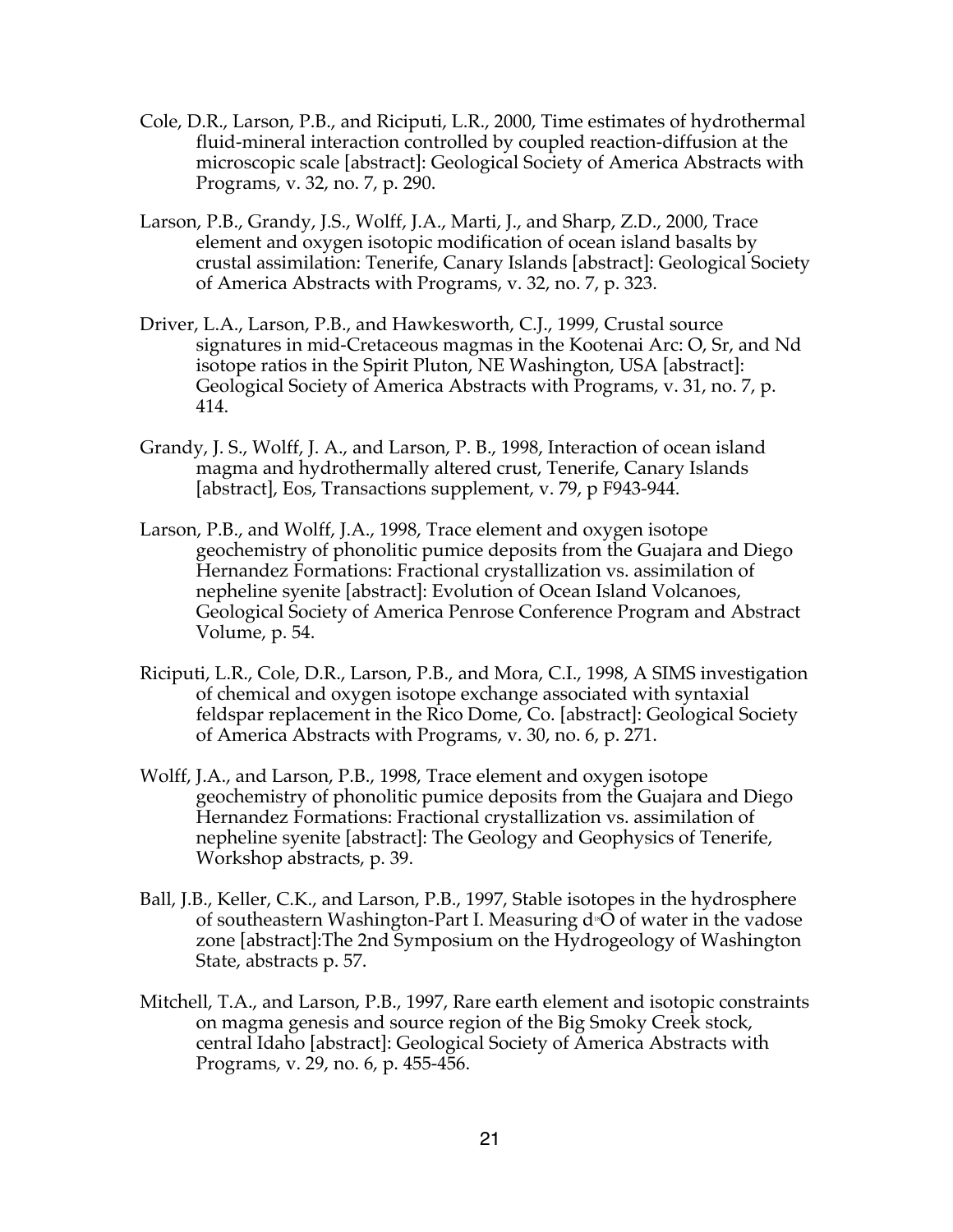- Cole, D.R., Larson, P.B., and Riciputi, L.R., 2000, Time estimates of hydrothermal fluid-mineral interaction controlled by coupled reaction-diffusion at the microscopic scale [abstract]: Geological Society of America Abstracts with Programs, v. 32, no. 7, p. 290.
- Larson, P.B., Grandy, J.S., Wolff, J.A., Marti, J., and Sharp, Z.D., 2000, Trace element and oxygen isotopic modification of ocean island basalts by crustal assimilation: Tenerife, Canary Islands [abstract]: Geological Society of America Abstracts with Programs, v. 32, no. 7, p. 323.
- Driver, L.A., Larson, P.B., and Hawkesworth, C.J., 1999, Crustal source signatures in mid-Cretaceous magmas in the Kootenai Arc: O, Sr, and Nd isotope ratios in the Spirit Pluton, NE Washington, USA [abstract]: Geological Society of America Abstracts with Programs, v. 31, no. 7, p. 414.
- Grandy, J. S., Wolff, J. A., and Larson, P. B., 1998, Interaction of ocean island magma and hydrothermally altered crust, Tenerife, Canary Islands [abstract], Eos, Transactions supplement, v. 79, p F943-944.
- Larson, P.B., and Wolff, J.A., 1998, Trace element and oxygen isotope geochemistry of phonolitic pumice deposits from the Guajara and Diego Hernandez Formations: Fractional crystallization vs. assimilation of nepheline syenite [abstract]: Evolution of Ocean Island Volcanoes, Geological Society of America Penrose Conference Program and Abstract Volume, p. 54.
- Riciputi, L.R., Cole, D.R., Larson, P.B., and Mora, C.I., 1998, A SIMS investigation of chemical and oxygen isotope exchange associated with syntaxial feldspar replacement in the Rico Dome, Co. [abstract]: Geological Society of America Abstracts with Programs, v. 30, no. 6, p. 271.
- Wolff, J.A., and Larson, P.B., 1998, Trace element and oxygen isotope geochemistry of phonolitic pumice deposits from the Guajara and Diego Hernandez Formations: Fractional crystallization vs. assimilation of nepheline syenite [abstract]: The Geology and Geophysics of Tenerife, Workshop abstracts, p. 39.
- Ball, J.B., Keller, C.K., and Larson, P.B., 1997, Stable isotopes in the hydrosphere of southeastern Washington-Part I. Measuring  $d$ <sup>\$</sup>O of water in the vadose zone [abstract]:The 2nd Symposium on the Hydrogeology of Washington State, abstracts p. 57.
- Mitchell, T.A., and Larson, P.B., 1997, Rare earth element and isotopic constraints on magma genesis and source region of the Big Smoky Creek stock, central Idaho [abstract]: Geological Society of America Abstracts with Programs, v. 29, no. 6, p. 455-456.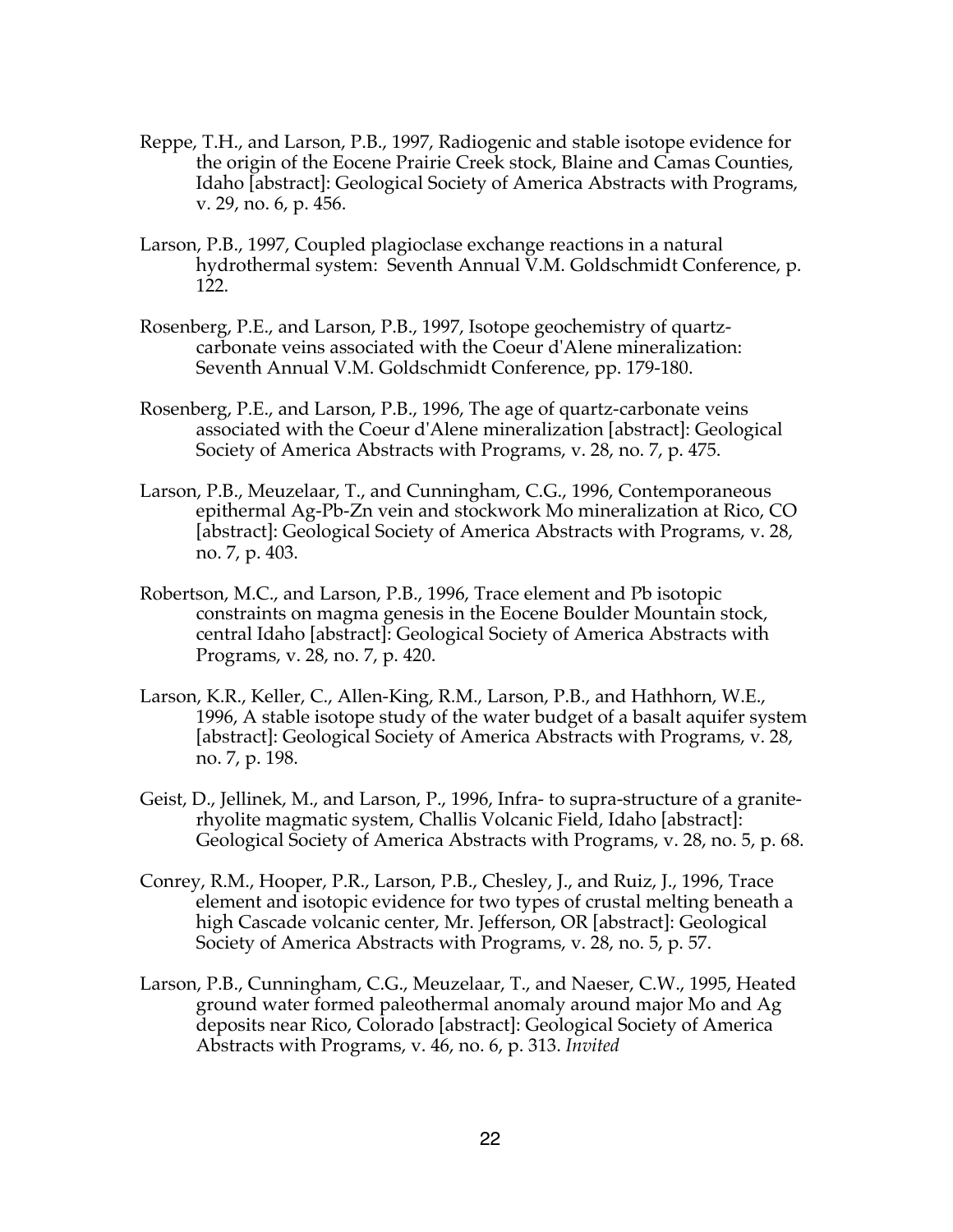- Reppe, T.H., and Larson, P.B., 1997, Radiogenic and stable isotope evidence for the origin of the Eocene Prairie Creek stock, Blaine and Camas Counties, Idaho [abstract]: Geological Society of America Abstracts with Programs, v. 29, no. 6, p. 456.
- Larson, P.B., 1997, Coupled plagioclase exchange reactions in a natural hydrothermal system: Seventh Annual V.M. Goldschmidt Conference, p. 122.
- Rosenberg, P.E., and Larson, P.B., 1997, Isotope geochemistry of quartzcarbonate veins associated with the Coeur d'Alene mineralization: Seventh Annual V.M. Goldschmidt Conference, pp. 179-180.
- Rosenberg, P.E., and Larson, P.B., 1996, The age of quartz-carbonate veins associated with the Coeur d'Alene mineralization [abstract]: Geological Society of America Abstracts with Programs, v. 28, no. 7, p. 475.
- Larson, P.B., Meuzelaar, T., and Cunningham, C.G., 1996, Contemporaneous epithermal Ag-Pb-Zn vein and stockwork Mo mineralization at Rico, CO [abstract]: Geological Society of America Abstracts with Programs, v. 28, no. 7, p. 403.
- Robertson, M.C., and Larson, P.B., 1996, Trace element and Pb isotopic constraints on magma genesis in the Eocene Boulder Mountain stock, central Idaho [abstract]: Geological Society of America Abstracts with Programs, v. 28, no. 7, p. 420.
- Larson, K.R., Keller, C., Allen-King, R.M., Larson, P.B., and Hathhorn, W.E., 1996, A stable isotope study of the water budget of a basalt aquifer system [abstract]: Geological Society of America Abstracts with Programs, v. 28, no. 7, p. 198.
- Geist, D., Jellinek, M., and Larson, P., 1996, Infra- to supra-structure of a graniterhyolite magmatic system, Challis Volcanic Field, Idaho [abstract]: Geological Society of America Abstracts with Programs, v. 28, no. 5, p. 68.
- Conrey, R.M., Hooper, P.R., Larson, P.B., Chesley, J., and Ruiz, J., 1996, Trace element and isotopic evidence for two types of crustal melting beneath a high Cascade volcanic center, Mr. Jefferson, OR [abstract]: Geological Society of America Abstracts with Programs, v. 28, no. 5, p. 57.
- Larson, P.B., Cunningham, C.G., Meuzelaar, T., and Naeser, C.W., 1995, Heated ground water formed paleothermal anomaly around major Mo and Ag deposits near Rico, Colorado [abstract]: Geological Society of America Abstracts with Programs, v. 46, no. 6, p. 313. *Invited*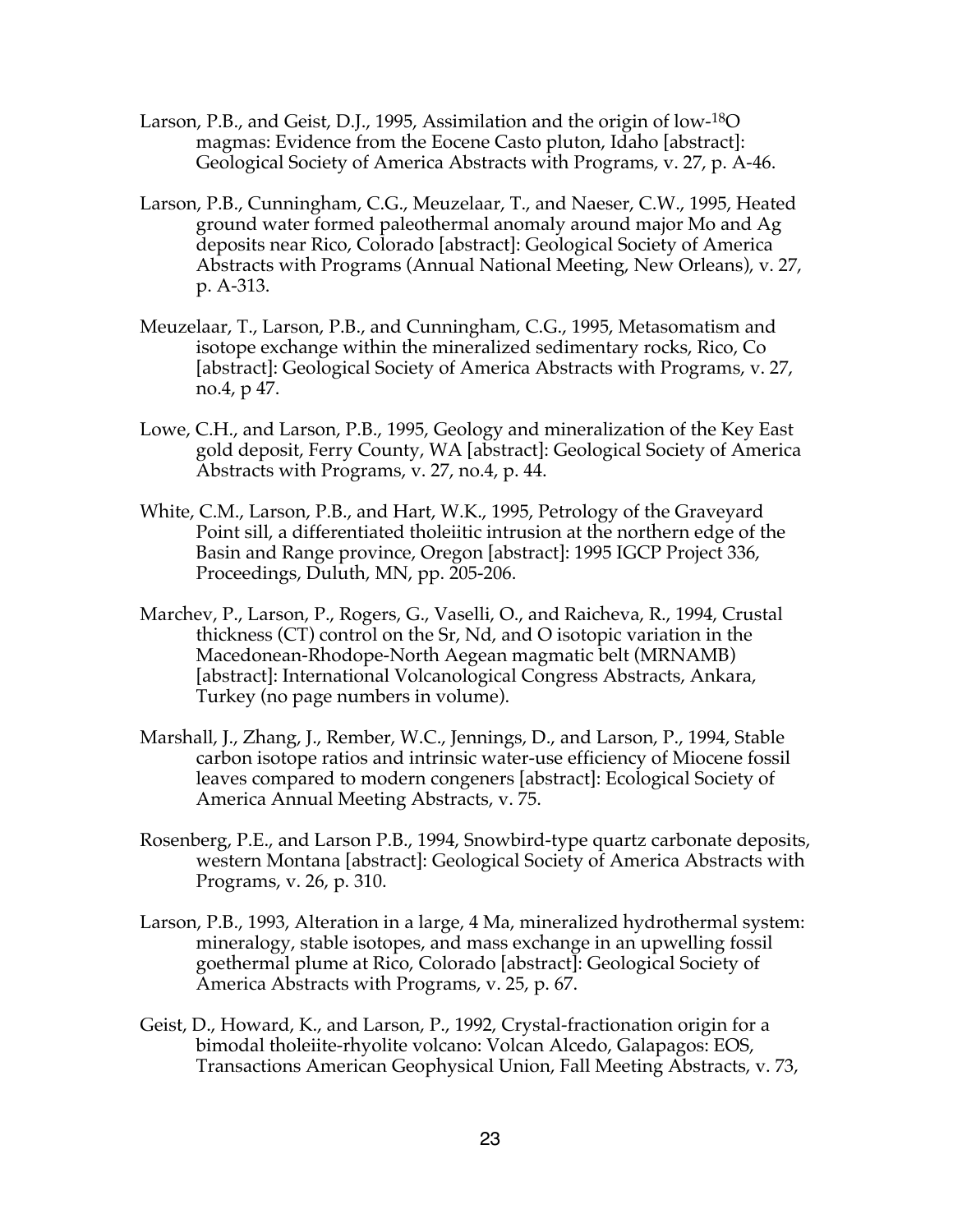- Larson, P.B., and Geist, D.J., 1995, Assimilation and the origin of low-18O magmas: Evidence from the Eocene Casto pluton, Idaho [abstract]: Geological Society of America Abstracts with Programs, v. 27, p. A-46.
- Larson, P.B., Cunningham, C.G., Meuzelaar, T., and Naeser, C.W., 1995, Heated ground water formed paleothermal anomaly around major Mo and Ag deposits near Rico, Colorado [abstract]: Geological Society of America Abstracts with Programs (Annual National Meeting, New Orleans), v. 27, p. A-313.
- Meuzelaar, T., Larson, P.B., and Cunningham, C.G., 1995, Metasomatism and isotope exchange within the mineralized sedimentary rocks, Rico, Co [abstract]: Geological Society of America Abstracts with Programs, v. 27, no.4, p 47.
- Lowe, C.H., and Larson, P.B., 1995, Geology and mineralization of the Key East gold deposit, Ferry County, WA [abstract]: Geological Society of America Abstracts with Programs, v. 27, no.4, p. 44.
- White, C.M., Larson, P.B., and Hart, W.K., 1995, Petrology of the Graveyard Point sill, a differentiated tholeiitic intrusion at the northern edge of the Basin and Range province, Oregon [abstract]: 1995 IGCP Project 336, Proceedings, Duluth, MN, pp. 205-206.
- Marchev, P., Larson, P., Rogers, G., Vaselli, O., and Raicheva, R., 1994, Crustal thickness (CT) control on the Sr, Nd, and O isotopic variation in the Macedonean-Rhodope-North Aegean magmatic belt (MRNAMB) [abstract]: International Volcanological Congress Abstracts, Ankara, Turkey (no page numbers in volume).
- Marshall, J., Zhang, J., Rember, W.C., Jennings, D., and Larson, P., 1994, Stable carbon isotope ratios and intrinsic water-use efficiency of Miocene fossil leaves compared to modern congeners [abstract]: Ecological Society of America Annual Meeting Abstracts, v. 75.
- Rosenberg, P.E., and Larson P.B., 1994, Snowbird-type quartz carbonate deposits, western Montana [abstract]: Geological Society of America Abstracts with Programs, v. 26, p. 310.
- Larson, P.B., 1993, Alteration in a large, 4 Ma, mineralized hydrothermal system: mineralogy, stable isotopes, and mass exchange in an upwelling fossil goethermal plume at Rico, Colorado [abstract]: Geological Society of America Abstracts with Programs, v. 25, p. 67.
- Geist, D., Howard, K., and Larson, P., 1992, Crystal-fractionation origin for a bimodal tholeiite-rhyolite volcano: Volcan Alcedo, Galapagos: EOS, Transactions American Geophysical Union, Fall Meeting Abstracts, v. 73,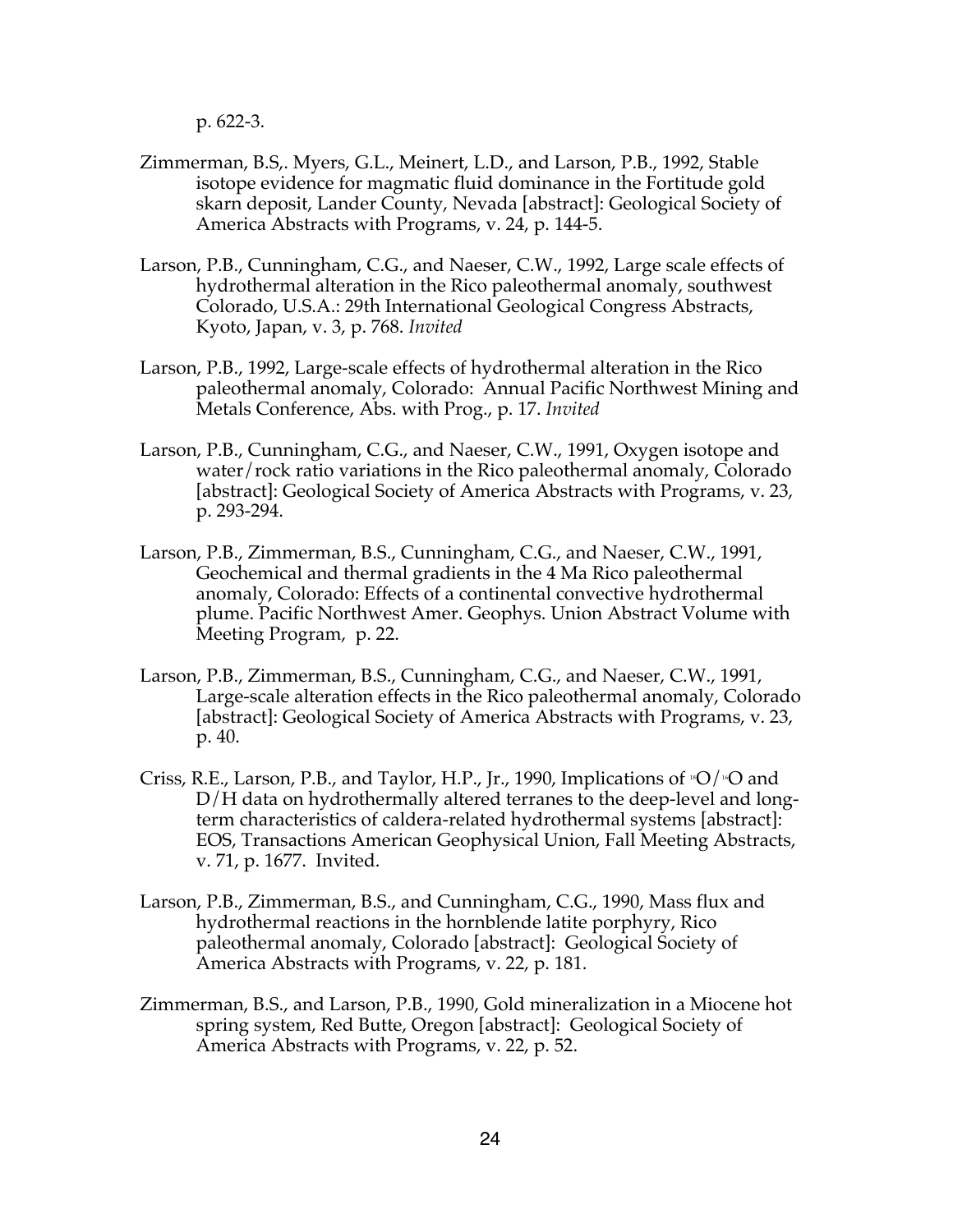p. 622-3.

- Zimmerman, B.S,. Myers, G.L., Meinert, L.D., and Larson, P.B., 1992, Stable isotope evidence for magmatic fluid dominance in the Fortitude gold skarn deposit, Lander County, Nevada [abstract]: Geological Society of America Abstracts with Programs, v. 24, p. 144-5.
- Larson, P.B., Cunningham, C.G., and Naeser, C.W., 1992, Large scale effects of hydrothermal alteration in the Rico paleothermal anomaly, southwest Colorado, U.S.A.: 29th International Geological Congress Abstracts, Kyoto, Japan, v. 3, p. 768. *Invited*
- Larson, P.B., 1992, Large-scale effects of hydrothermal alteration in the Rico paleothermal anomaly, Colorado: Annual Pacific Northwest Mining and Metals Conference, Abs. with Prog., p. 17. *Invited*
- Larson, P.B., Cunningham, C.G., and Naeser, C.W., 1991, Oxygen isotope and water/rock ratio variations in the Rico paleothermal anomaly, Colorado [abstract]: Geological Society of America Abstracts with Programs, v. 23, p. 293-294.
- Larson, P.B., Zimmerman, B.S., Cunningham, C.G., and Naeser, C.W., 1991, Geochemical and thermal gradients in the 4 Ma Rico paleothermal anomaly, Colorado: Effects of a continental convective hydrothermal plume. Pacific Northwest Amer. Geophys. Union Abstract Volume with Meeting Program, p. 22.
- Larson, P.B., Zimmerman, B.S., Cunningham, C.G., and Naeser, C.W., 1991, Large-scale alteration effects in the Rico paleothermal anomaly, Colorado [abstract]: Geological Society of America Abstracts with Programs, v. 23, p. 40.
- Criss, R.E., Larson, P.B., and Taylor, H.P., Jr., 1990, Implications of  ${}^{18}O/{}^{16}O$  and D/H data on hydrothermally altered terranes to the deep-level and longterm characteristics of caldera-related hydrothermal systems [abstract]: EOS, Transactions American Geophysical Union, Fall Meeting Abstracts, v. 71, p. 1677. Invited.
- Larson, P.B., Zimmerman, B.S., and Cunningham, C.G., 1990, Mass flux and hydrothermal reactions in the hornblende latite porphyry, Rico paleothermal anomaly, Colorado [abstract]: Geological Society of America Abstracts with Programs, v. 22, p. 181.
- Zimmerman, B.S., and Larson, P.B., 1990, Gold mineralization in a Miocene hot spring system, Red Butte, Oregon [abstract]: Geological Society of America Abstracts with Programs, v. 22, p. 52.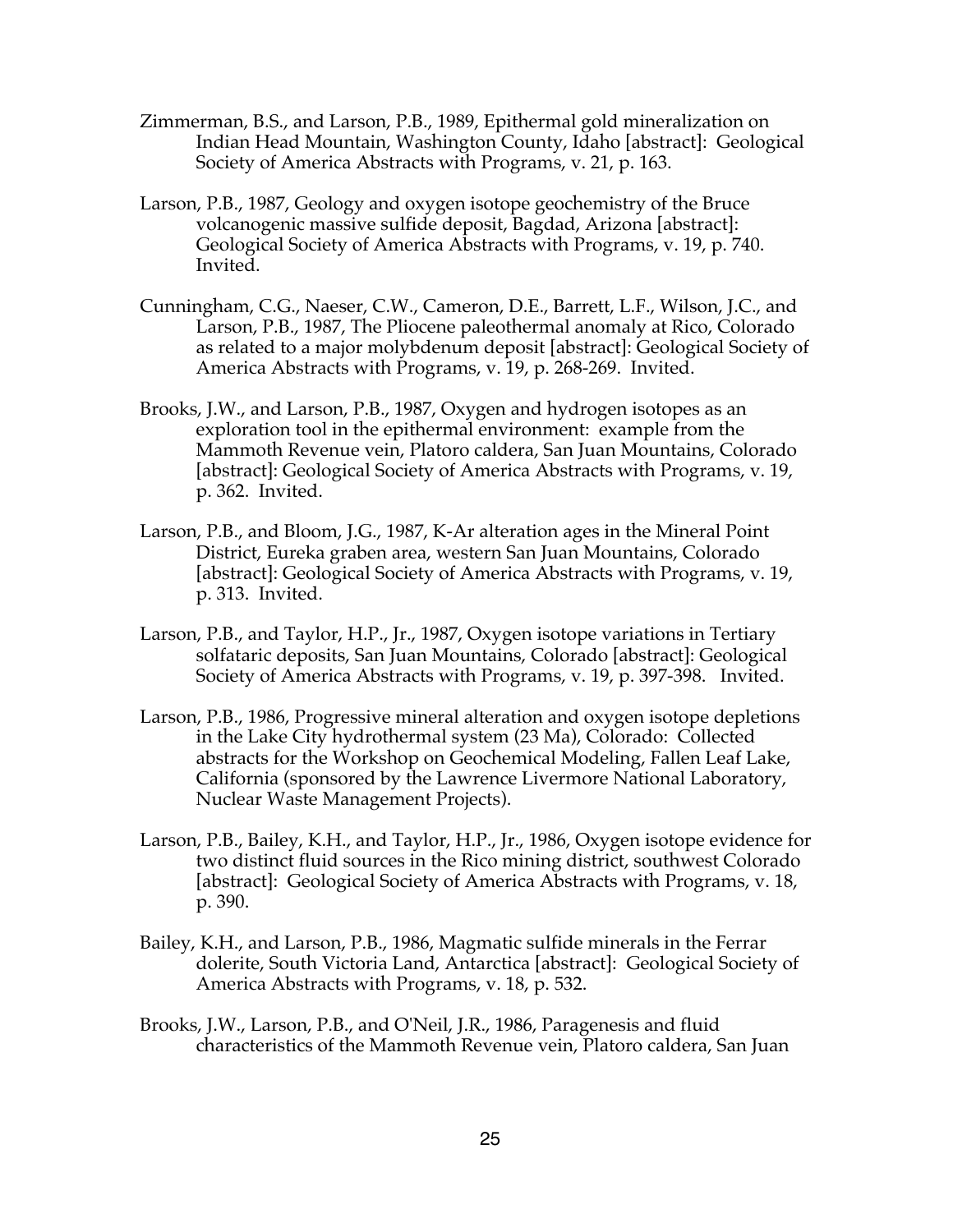- Zimmerman, B.S., and Larson, P.B., 1989, Epithermal gold mineralization on Indian Head Mountain, Washington County, Idaho [abstract]: Geological Society of America Abstracts with Programs, v. 21, p. 163.
- Larson, P.B., 1987, Geology and oxygen isotope geochemistry of the Bruce volcanogenic massive sulfide deposit, Bagdad, Arizona [abstract]: Geological Society of America Abstracts with Programs, v. 19, p. 740. Invited.
- Cunningham, C.G., Naeser, C.W., Cameron, D.E., Barrett, L.F., Wilson, J.C., and Larson, P.B., 1987, The Pliocene paleothermal anomaly at Rico, Colorado as related to a major molybdenum deposit [abstract]: Geological Society of America Abstracts with Programs, v. 19, p. 268-269. Invited.
- Brooks, J.W., and Larson, P.B., 1987, Oxygen and hydrogen isotopes as an exploration tool in the epithermal environment: example from the Mammoth Revenue vein, Platoro caldera, San Juan Mountains, Colorado [abstract]: Geological Society of America Abstracts with Programs, v. 19, p. 362. Invited.
- Larson, P.B., and Bloom, J.G., 1987, K-Ar alteration ages in the Mineral Point District, Eureka graben area, western San Juan Mountains, Colorado [abstract]: Geological Society of America Abstracts with Programs, v. 19, p. 313. Invited.
- Larson, P.B., and Taylor, H.P., Jr., 1987, Oxygen isotope variations in Tertiary solfataric deposits, San Juan Mountains, Colorado [abstract]: Geological Society of America Abstracts with Programs, v. 19, p. 397-398. Invited.
- Larson, P.B., 1986, Progressive mineral alteration and oxygen isotope depletions in the Lake City hydrothermal system (23 Ma), Colorado: Collected abstracts for the Workshop on Geochemical Modeling, Fallen Leaf Lake, California (sponsored by the Lawrence Livermore National Laboratory, Nuclear Waste Management Projects).
- Larson, P.B., Bailey, K.H., and Taylor, H.P., Jr., 1986, Oxygen isotope evidence for two distinct fluid sources in the Rico mining district, southwest Colorado [abstract]: Geological Society of America Abstracts with Programs, v. 18, p. 390.
- Bailey, K.H., and Larson, P.B., 1986, Magmatic sulfide minerals in the Ferrar dolerite, South Victoria Land, Antarctica [abstract]: Geological Society of America Abstracts with Programs, v. 18, p. 532.
- Brooks, J.W., Larson, P.B., and O'Neil, J.R., 1986, Paragenesis and fluid characteristics of the Mammoth Revenue vein, Platoro caldera, San Juan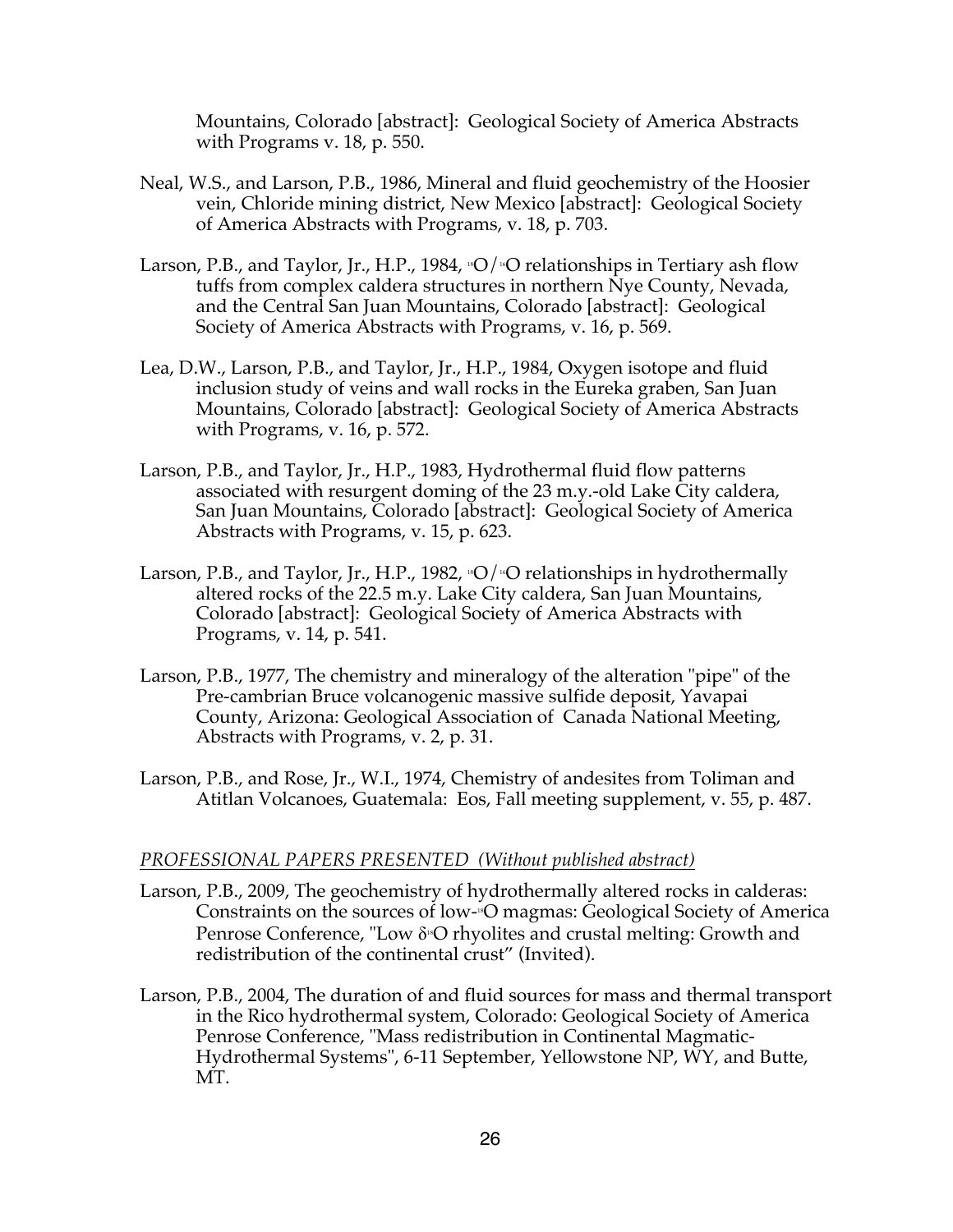Mountains, Colorado [abstract]: Geological Society of America Abstracts with Programs v. 18, p. 550.

- Neal, W.S., and Larson, P.B., 1986, Mineral and fluid geochemistry of the Hoosier vein, Chloride mining district, New Mexico [abstract]: Geological Society of America Abstracts with Programs, v. 18, p. 703.
- Larson, P.B., and Taylor, Jr., H.P., 1984,  $SO/N$  relationships in Tertiary ash flow tuffs from complex caldera structures in northern Nye County, Nevada, and the Central San Juan Mountains, Colorado [abstract]: Geological Society of America Abstracts with Programs, v. 16, p. 569.
- Lea, D.W., Larson, P.B., and Taylor, Jr., H.P., 1984, Oxygen isotope and fluid inclusion study of veins and wall rocks in the Eureka graben, San Juan Mountains, Colorado [abstract]: Geological Society of America Abstracts with Programs, v. 16, p. 572.
- Larson, P.B., and Taylor, Jr., H.P., 1983, Hydrothermal fluid flow patterns associated with resurgent doming of the 23 m.y.-old Lake City caldera, San Juan Mountains, Colorado [abstract]: Geological Society of America Abstracts with Programs, v. 15, p. 623.
- Larson, P.B., and Taylor, Jr., H.P., 1982,  $\mathcal{O}/\mathcal{O}$  relationships in hydrothermally altered rocks of the 22.5 m.y. Lake City caldera, San Juan Mountains, Colorado [abstract]: Geological Society of America Abstracts with Programs, v. 14, p. 541.
- Larson, P.B., 1977, The chemistry and mineralogy of the alteration "pipe" of the Pre-cambrian Bruce volcanogenic massive sulfide deposit, Yavapai County, Arizona: Geological Association of Canada National Meeting, Abstracts with Programs, v. 2, p. 31.
- Larson, P.B., and Rose, Jr., W.I., 1974, Chemistry of andesites from Toliman and Atitlan Volcanoes, Guatemala: Eos, Fall meeting supplement, v. 55, p. 487.

## *PROFESSIONAL PAPERS PRESENTED (Without published abstract)*

- Larson, P.B., 2009, The geochemistry of hydrothermally altered rocks in calderas: Constraints on the sources of low-18O magmas: Geological Society of America Penrose Conference, "Low δ<sup>8</sup> O rhyolites and crustal melting: Growth and redistribution of the continental crust" (Invited).
- Larson, P.B., 2004, The duration of and fluid sources for mass and thermal transport in the Rico hydrothermal system, Colorado: Geological Society of America Penrose Conference, "Mass redistribution in Continental Magmatic-Hydrothermal Systems", 6-11 September, Yellowstone NP, WY, and Butte, MT.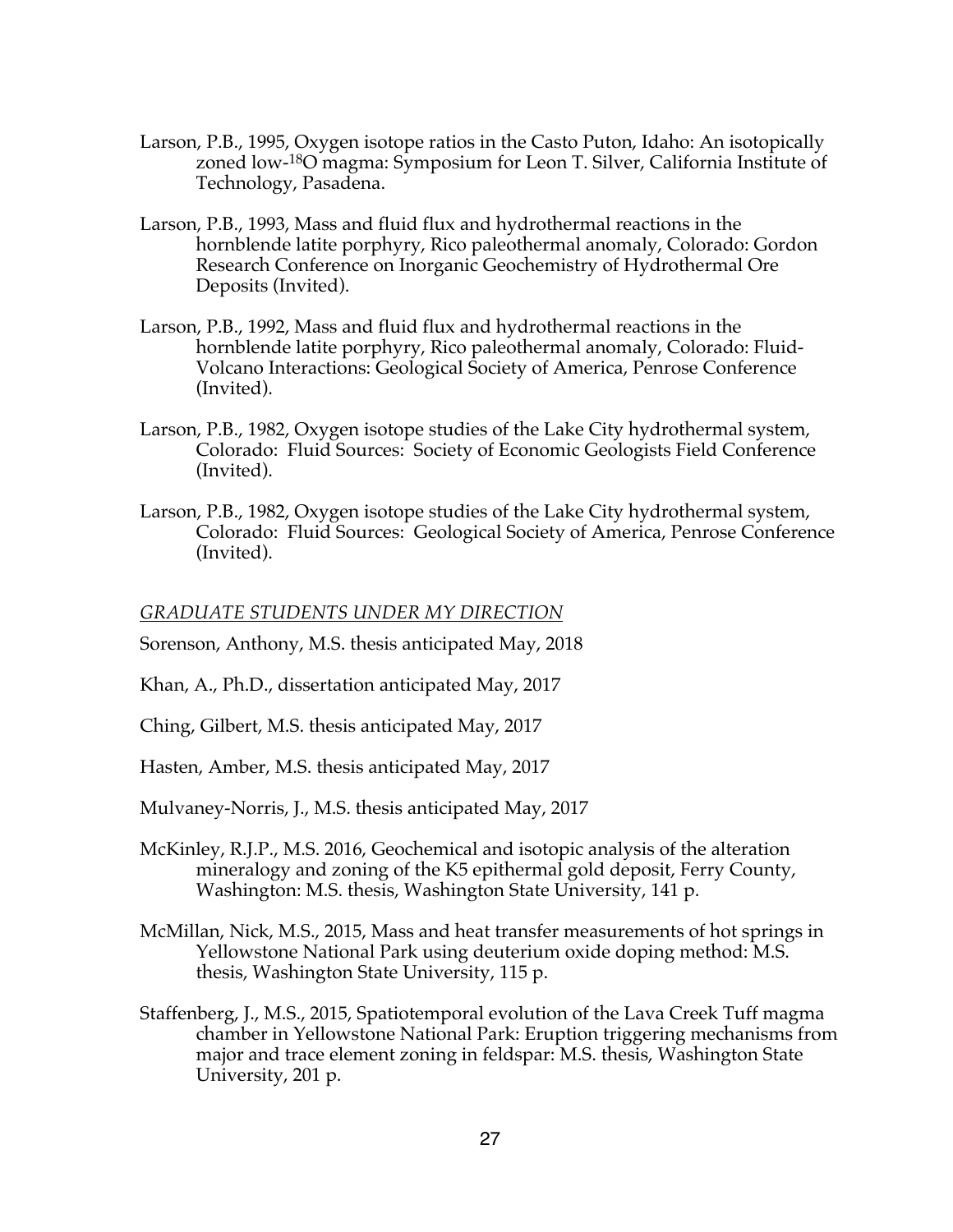- Larson, P.B., 1995, Oxygen isotope ratios in the Casto Puton, Idaho: An isotopically zoned low-18O magma: Symposium for Leon T. Silver, California Institute of Technology, Pasadena.
- Larson, P.B., 1993, Mass and fluid flux and hydrothermal reactions in the hornblende latite porphyry, Rico paleothermal anomaly, Colorado: Gordon Research Conference on Inorganic Geochemistry of Hydrothermal Ore Deposits (Invited).
- Larson, P.B., 1992, Mass and fluid flux and hydrothermal reactions in the hornblende latite porphyry, Rico paleothermal anomaly, Colorado: Fluid-Volcano Interactions: Geological Society of America, Penrose Conference (Invited).
- Larson, P.B., 1982, Oxygen isotope studies of the Lake City hydrothermal system, Colorado: Fluid Sources: Society of Economic Geologists Field Conference (Invited).
- Larson, P.B., 1982, Oxygen isotope studies of the Lake City hydrothermal system, Colorado: Fluid Sources: Geological Society of America, Penrose Conference (Invited).

## *GRADUATE STUDENTS UNDER MY DIRECTION*

Sorenson, Anthony, M.S. thesis anticipated May, 2018

- Khan, A., Ph.D., dissertation anticipated May, 2017
- Ching, Gilbert, M.S. thesis anticipated May, 2017
- Hasten, Amber, M.S. thesis anticipated May, 2017

Mulvaney-Norris, J., M.S. thesis anticipated May, 2017

- McKinley, R.J.P., M.S. 2016, Geochemical and isotopic analysis of the alteration mineralogy and zoning of the K5 epithermal gold deposit, Ferry County, Washington: M.S. thesis, Washington State University, 141 p.
- McMillan, Nick, M.S., 2015, Mass and heat transfer measurements of hot springs in Yellowstone National Park using deuterium oxide doping method: M.S. thesis, Washington State University, 115 p.
- Staffenberg, J., M.S., 2015, Spatiotemporal evolution of the Lava Creek Tuff magma chamber in Yellowstone National Park: Eruption triggering mechanisms from major and trace element zoning in feldspar: M.S. thesis, Washington State University, 201 p.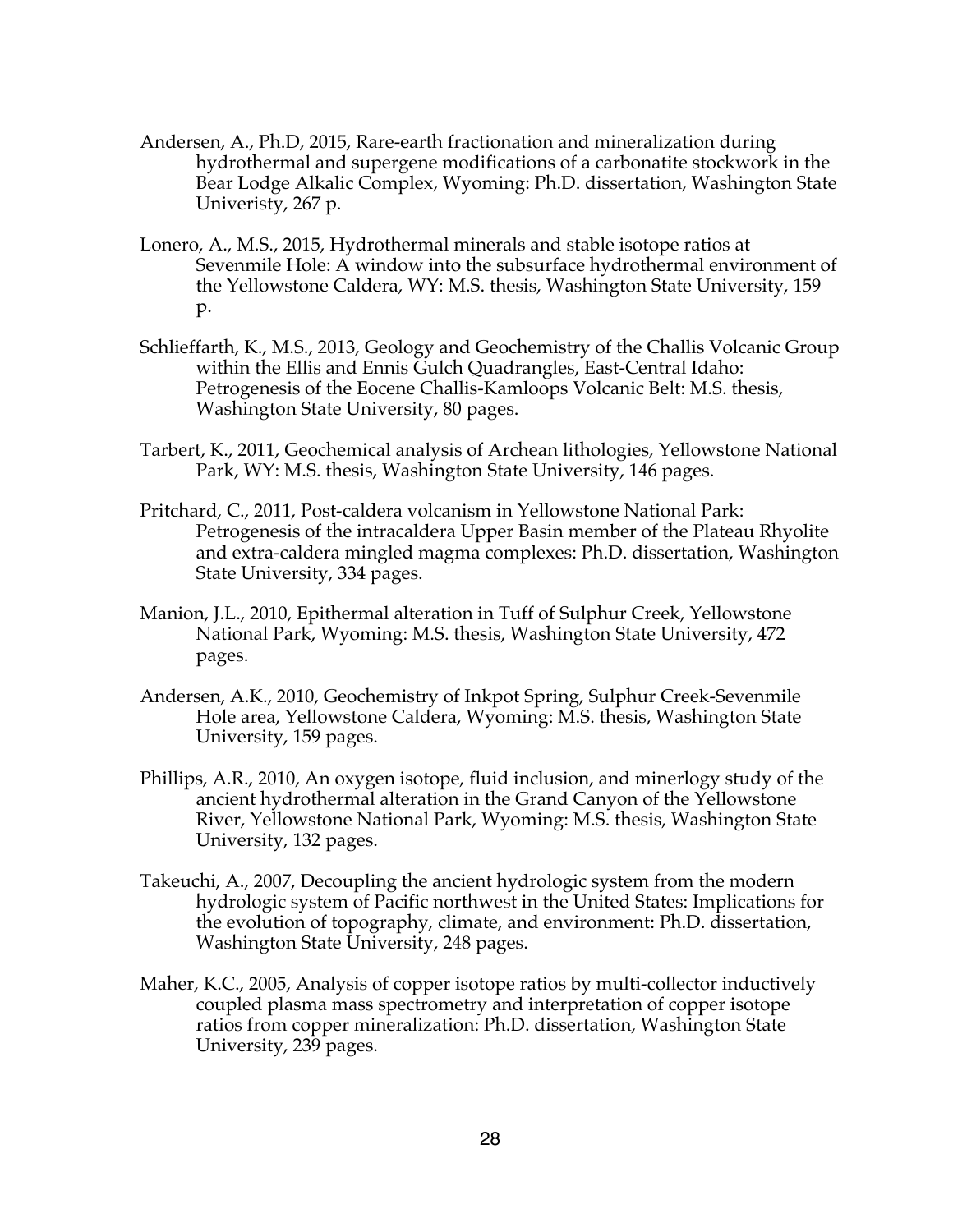- Andersen, A., Ph.D, 2015, Rare-earth fractionation and mineralization during hydrothermal and supergene modifications of a carbonatite stockwork in the Bear Lodge Alkalic Complex, Wyoming: Ph.D. dissertation, Washington State Univeristy, 267 p.
- Lonero, A., M.S., 2015, Hydrothermal minerals and stable isotope ratios at Sevenmile Hole: A window into the subsurface hydrothermal environment of the Yellowstone Caldera, WY: M.S. thesis, Washington State University, 159 p.
- Schlieffarth, K., M.S., 2013, Geology and Geochemistry of the Challis Volcanic Group within the Ellis and Ennis Gulch Quadrangles, East-Central Idaho: Petrogenesis of the Eocene Challis-Kamloops Volcanic Belt: M.S. thesis, Washington State University, 80 pages.
- Tarbert, K., 2011, Geochemical analysis of Archean lithologies, Yellowstone National Park, WY: M.S. thesis, Washington State University, 146 pages.
- Pritchard, C., 2011, Post-caldera volcanism in Yellowstone National Park: Petrogenesis of the intracaldera Upper Basin member of the Plateau Rhyolite and extra-caldera mingled magma complexes: Ph.D. dissertation, Washington State University, 334 pages.
- Manion, J.L., 2010, Epithermal alteration in Tuff of Sulphur Creek, Yellowstone National Park, Wyoming: M.S. thesis, Washington State University, 472 pages.
- Andersen, A.K., 2010, Geochemistry of Inkpot Spring, Sulphur Creek-Sevenmile Hole area, Yellowstone Caldera, Wyoming: M.S. thesis, Washington State University, 159 pages.
- Phillips, A.R., 2010, An oxygen isotope, fluid inclusion, and minerlogy study of the ancient hydrothermal alteration in the Grand Canyon of the Yellowstone River, Yellowstone National Park, Wyoming: M.S. thesis, Washington State University, 132 pages.
- Takeuchi, A., 2007, Decoupling the ancient hydrologic system from the modern hydrologic system of Pacific northwest in the United States: Implications for the evolution of topography, climate, and environment: Ph.D. dissertation, Washington State University, 248 pages.
- Maher, K.C., 2005, Analysis of copper isotope ratios by multi-collector inductively coupled plasma mass spectrometry and interpretation of copper isotope ratios from copper mineralization: Ph.D. dissertation, Washington State University, 239 pages.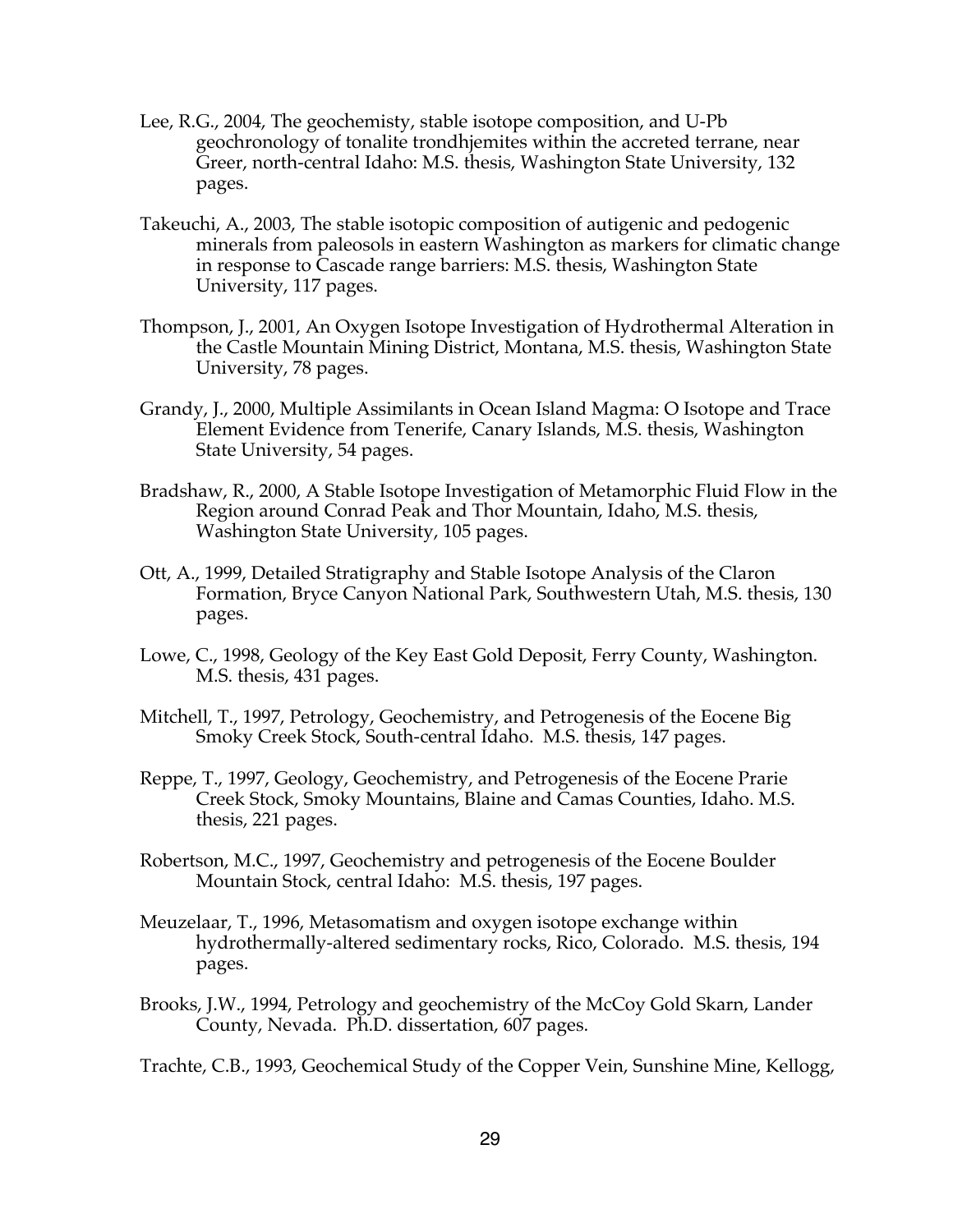- Lee, R.G., 2004, The geochemisty, stable isotope composition, and U-Pb geochronology of tonalite trondhjemites within the accreted terrane, near Greer, north-central Idaho: M.S. thesis, Washington State University, 132 pages.
- Takeuchi, A., 2003, The stable isotopic composition of autigenic and pedogenic minerals from paleosols in eastern Washington as markers for climatic change in response to Cascade range barriers: M.S. thesis, Washington State University, 117 pages.
- Thompson, J., 2001, An Oxygen Isotope Investigation of Hydrothermal Alteration in the Castle Mountain Mining District, Montana, M.S. thesis, Washington State University, 78 pages.
- Grandy, J., 2000, Multiple Assimilants in Ocean Island Magma: O Isotope and Trace Element Evidence from Tenerife, Canary Islands, M.S. thesis, Washington State University, 54 pages.
- Bradshaw, R., 2000, A Stable Isotope Investigation of Metamorphic Fluid Flow in the Region around Conrad Peak and Thor Mountain, Idaho, M.S. thesis, Washington State University, 105 pages.
- Ott, A., 1999, Detailed Stratigraphy and Stable Isotope Analysis of the Claron Formation, Bryce Canyon National Park, Southwestern Utah, M.S. thesis, 130 pages.
- Lowe, C., 1998, Geology of the Key East Gold Deposit, Ferry County, Washington. M.S. thesis, 431 pages.
- Mitchell, T., 1997, Petrology, Geochemistry, and Petrogenesis of the Eocene Big Smoky Creek Stock, South-central Idaho. M.S. thesis, 147 pages.
- Reppe, T., 1997, Geology, Geochemistry, and Petrogenesis of the Eocene Prarie Creek Stock, Smoky Mountains, Blaine and Camas Counties, Idaho. M.S. thesis, 221 pages.
- Robertson, M.C., 1997, Geochemistry and petrogenesis of the Eocene Boulder Mountain Stock, central Idaho: M.S. thesis, 197 pages.
- Meuzelaar, T., 1996, Metasomatism and oxygen isotope exchange within hydrothermally-altered sedimentary rocks, Rico, Colorado. M.S. thesis, 194 pages.
- Brooks, J.W., 1994, Petrology and geochemistry of the McCoy Gold Skarn, Lander County, Nevada. Ph.D. dissertation, 607 pages.

Trachte, C.B., 1993, Geochemical Study of the Copper Vein, Sunshine Mine, Kellogg,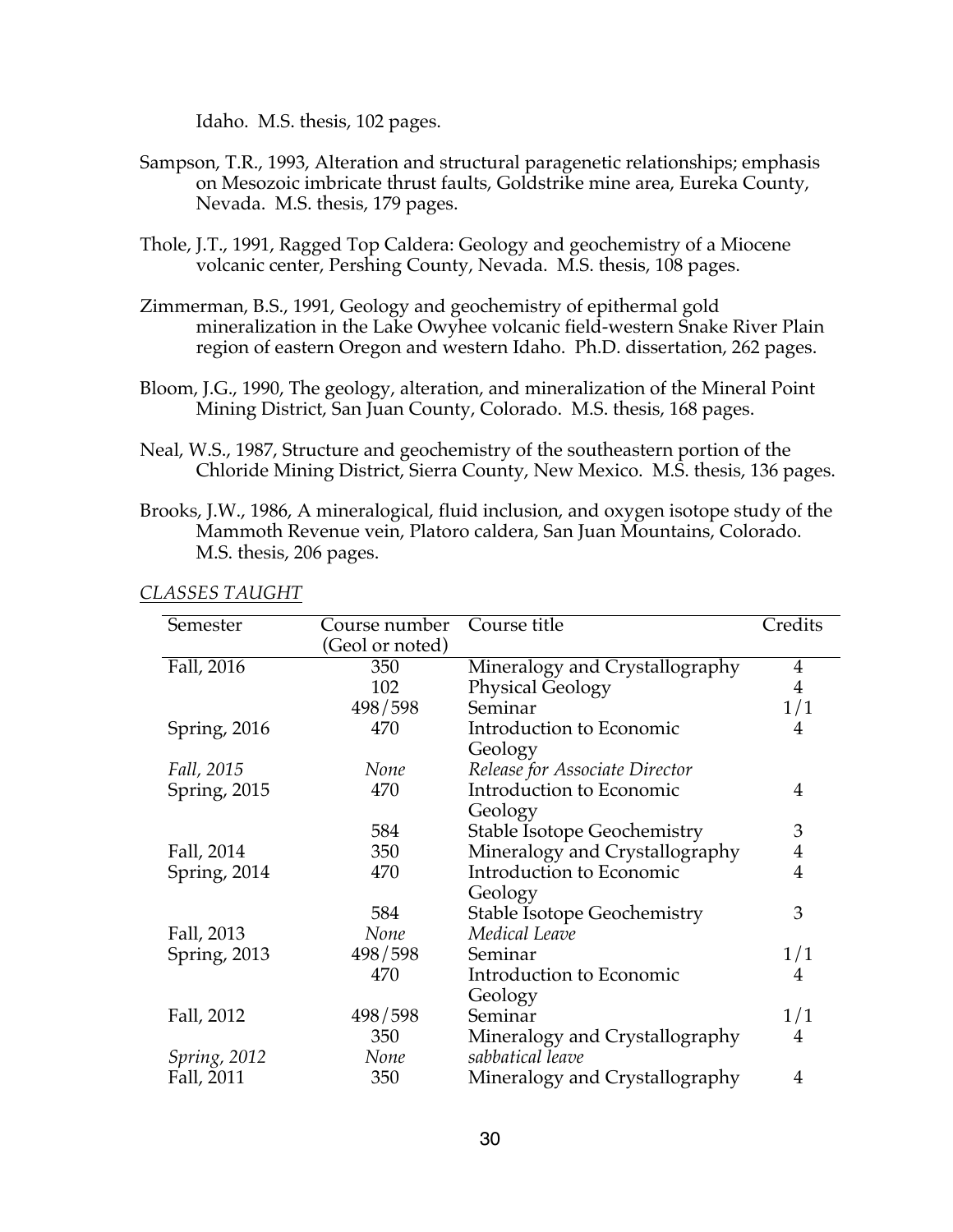Idaho. M.S. thesis, 102 pages.

- Sampson, T.R., 1993, Alteration and structural paragenetic relationships; emphasis on Mesozoic imbricate thrust faults, Goldstrike mine area, Eureka County, Nevada. M.S. thesis, 179 pages.
- Thole, J.T., 1991, Ragged Top Caldera: Geology and geochemistry of a Miocene volcanic center, Pershing County, Nevada. M.S. thesis, 108 pages.
- Zimmerman, B.S., 1991, Geology and geochemistry of epithermal gold mineralization in the Lake Owyhee volcanic field-western Snake River Plain region of eastern Oregon and western Idaho. Ph.D. dissertation, 262 pages.
- Bloom, J.G., 1990, The geology, alteration, and mineralization of the Mineral Point Mining District, San Juan County, Colorado. M.S. thesis, 168 pages.
- Neal, W.S., 1987, Structure and geochemistry of the southeastern portion of the Chloride Mining District, Sierra County, New Mexico. M.S. thesis, 136 pages.
- Brooks, J.W., 1986, A mineralogical, fluid inclusion, and oxygen isotope study of the Mammoth Revenue vein, Platoro caldera, San Juan Mountains, Colorado. M.S. thesis, 206 pages.

| Semester             | Course number   | Course title                       | Credits        |
|----------------------|-----------------|------------------------------------|----------------|
|                      | (Geol or noted) |                                    |                |
| Fall, 2016           | 350             | Mineralogy and Crystallography     | $\overline{4}$ |
|                      | 102             | Physical Geology                   | $\overline{4}$ |
|                      | 498/598         | Seminar                            | 1/1            |
| Spring, $2016$       | 470             | Introduction to Economic           | 4              |
|                      |                 | Geology                            |                |
| Fall, 2015           | None            | Release for Associate Director     |                |
| Spring, 2015         | 470             | Introduction to Economic           | 4              |
|                      |                 | Geology                            |                |
|                      | 584             | <b>Stable Isotope Geochemistry</b> | 3              |
| Fall, 2014           | 350             | Mineralogy and Crystallography     | $\overline{4}$ |
| Spring, 2014         | 470             | Introduction to Economic           | $\overline{4}$ |
|                      |                 | Geology                            |                |
|                      | 584             | <b>Stable Isotope Geochemistry</b> | 3              |
| Fall, 2013           | None            | Medical Leave                      |                |
| Spring, 2013         | 498/598         | Seminar                            | 1/1            |
|                      | 470             | Introduction to Economic           | 4              |
|                      |                 | Geology                            |                |
| Fall, 2012           | 498/598         | Seminar                            | 1/1            |
|                      | 350             | Mineralogy and Crystallography     | 4              |
| <i>Spring</i> , 2012 | None            | sabbatical leave                   |                |
| Fall, 2011           | 350             | Mineralogy and Crystallography     | 4              |

*CLASSES TAUGHT*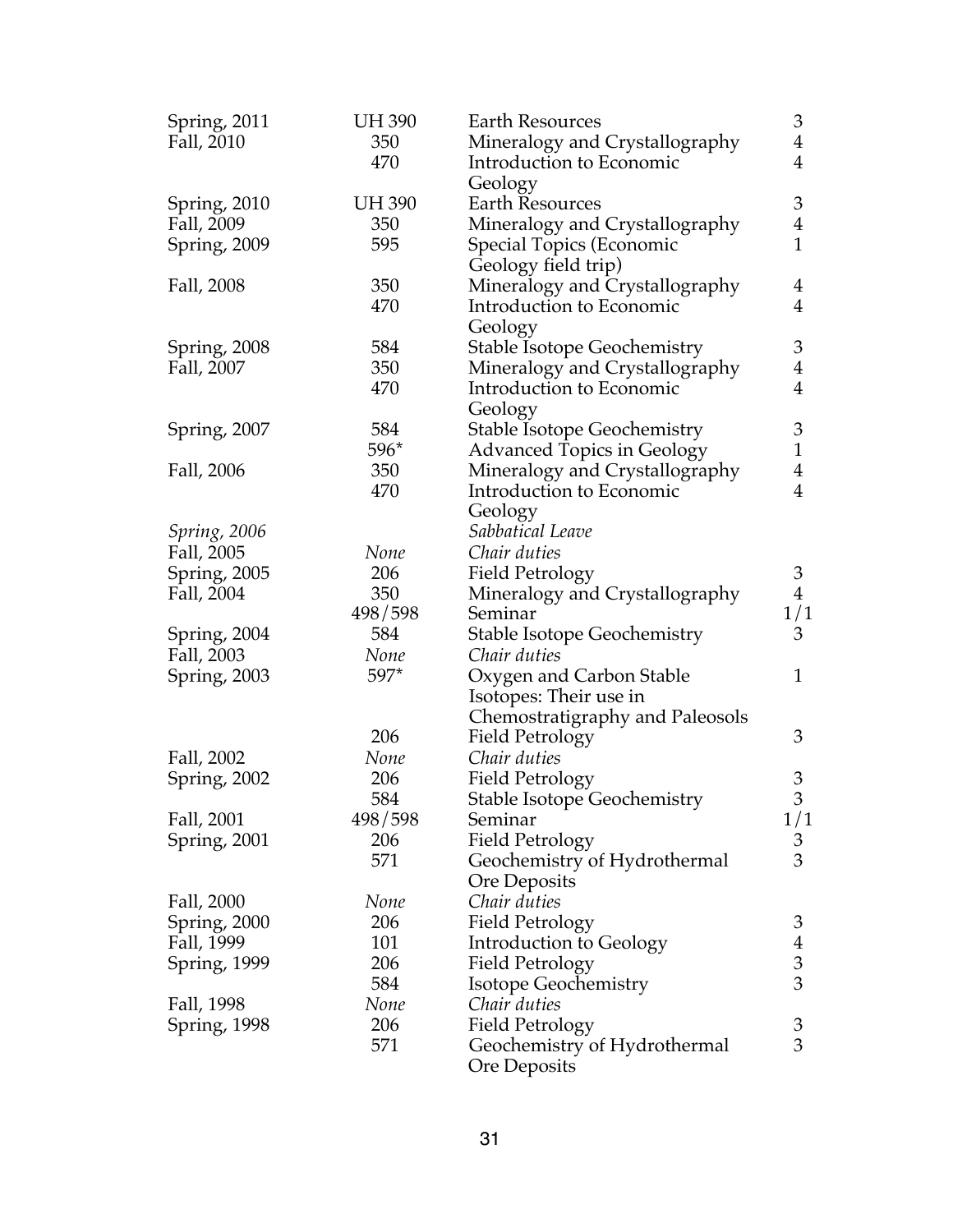| Spring, 2011 | <b>UH 390</b> | <b>Earth Resources</b>             | 3              |
|--------------|---------------|------------------------------------|----------------|
| Fall, 2010   | 350           | Mineralogy and Crystallography     | $\overline{4}$ |
|              | 470           | Introduction to Economic           | $\overline{4}$ |
|              |               | Geology                            |                |
| Spring, 2010 | <b>UH 390</b> | <b>Earth Resources</b>             | 3              |
| Fall, 2009   | 350           | Mineralogy and Crystallography     | $\overline{4}$ |
| Spring, 2009 | 595           | Special Topics (Economic           | $\mathbf{1}$   |
|              |               | Geology field trip)                |                |
| Fall, 2008   | 350           | Mineralogy and Crystallography     | $\overline{4}$ |
|              | 470           | Introduction to Economic           | $\overline{4}$ |
|              |               | Geology                            |                |
| Spring, 2008 | 584           | <b>Stable Isotope Geochemistry</b> | 3              |
| Fall, 2007   | 350           | Mineralogy and Crystallography     | $\overline{4}$ |
|              | 470           | Introduction to Economic           | $\overline{4}$ |
|              |               | Geology                            |                |
| Spring, 2007 | 584           | <b>Stable Isotope Geochemistry</b> | 3              |
|              | 596*          | <b>Advanced Topics in Geology</b>  | $\mathbf{1}$   |
| Fall, 2006   | 350           | Mineralogy and Crystallography     | $\overline{4}$ |
|              | 470           | Introduction to Economic           | $\overline{4}$ |
|              |               | Geology                            |                |
| Spring, 2006 |               | Sabbatical Leave                   |                |
| Fall, 2005   | None          | Chair duties                       |                |
| Spring, 2005 | 206           | <b>Field Petrology</b>             | $\mathfrak{Z}$ |
| Fall, 2004   | 350           | Mineralogy and Crystallography     | $\overline{4}$ |
|              | 498/598       | Seminar                            | 1/1            |
| Spring, 2004 | 584           | <b>Stable Isotope Geochemistry</b> | 3              |
| Fall, 2003   | None          | Chair duties                       |                |
| Spring, 2003 | 597*          | Oxygen and Carbon Stable           | $\mathbf{1}$   |
|              |               | Isotopes: Their use in             |                |
|              |               | Chemostratigraphy and Paleosols    |                |
|              | 206           | <b>Field Petrology</b>             | 3              |
| Fall, 2002   | None          | Chair duties                       |                |
| Spring, 2002 | 206           | <b>Field Petrology</b>             | 3              |
|              | 584           | <b>Stable Isotope Geochemistry</b> | 3              |
| Fall, 2001   | 498/598       | Seminar                            | 1/1            |
| Spring, 2001 | 206           | <b>Field Petrology</b>             | 3              |
|              | 571           | Geochemistry of Hydrothermal       | 3              |
|              |               | Ore Deposits                       |                |
| Fall, 2000   | None          | Chair duties                       |                |
| Spring, 2000 | 206           | <b>Field Petrology</b>             | 3              |
| Fall, 1999   | 101           | Introduction to Geology            | $\overline{4}$ |
| Spring, 1999 | 206           | Field Petrology                    | $\mathfrak{Z}$ |
|              | 584           | <b>Isotope Geochemistry</b>        | 3              |
| Fall, 1998   | None          | Chair duties                       |                |
| Spring, 1998 | 206           | <b>Field Petrology</b>             | 3              |
|              | 571           | Geochemistry of Hydrothermal       | 3              |
|              |               | Ore Deposits                       |                |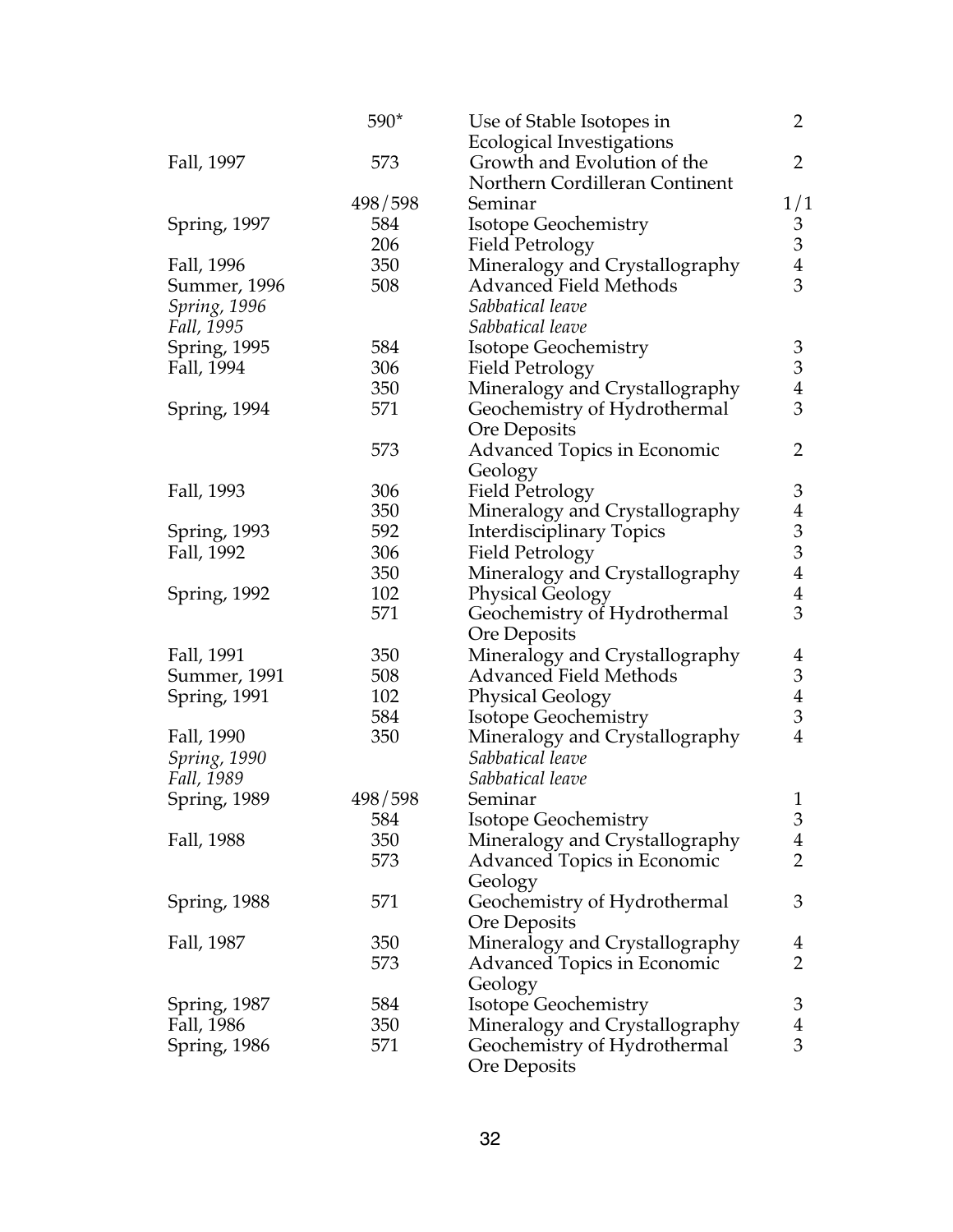|              | 590*    | Use of Stable Isotopes in          | $\overline{2}$              |
|--------------|---------|------------------------------------|-----------------------------|
|              |         | <b>Ecological Investigations</b>   |                             |
| Fall, 1997   | 573     | Growth and Evolution of the        | $\overline{2}$              |
|              |         | Northern Cordilleran Continent     |                             |
|              | 498/598 | Seminar                            | 1/1                         |
| Spring, 1997 | 584     | <b>Isotope Geochemistry</b>        | 3                           |
|              | 206     | <b>Field Petrology</b>             | 3                           |
| Fall, 1996   | 350     | Mineralogy and Crystallography     | $\overline{4}$              |
| Summer, 1996 | 508     | <b>Advanced Field Methods</b>      | 3                           |
| Spring, 1996 |         | Sabbatical leave                   |                             |
| Fall, 1995   |         | Sabbatical leave                   |                             |
| Spring, 1995 | 584     | Isotope Geochemistry               | $\mathfrak{Z}$              |
| Fall, 1994   | 306     | <b>Field Petrology</b>             | $\ensuremath{\mathfrak{Z}}$ |
|              | 350     | Mineralogy and Crystallography     | $\overline{4}$              |
| Spring, 1994 | 571     | Geochemistry of Hydrothermal       | 3                           |
|              |         | <b>Ore Deposits</b>                |                             |
|              | 573     | <b>Advanced Topics in Economic</b> | 2                           |
|              |         | Geology                            |                             |
| Fall, 1993   | 306     | <b>Field Petrology</b>             | 3                           |
|              | 350     | Mineralogy and Crystallography     | $\overline{4}$              |
| Spring, 1993 | 592     | Interdisciplinary Topics           | 3                           |
| Fall, 1992   | 306     | <b>Field Petrology</b>             | 3                           |
|              | 350     | Mineralogy and Crystallography     | $\overline{\mathbf{4}}$     |
| Spring, 1992 | 102     | <b>Physical Geology</b>            | $\overline{\mathbf{4}}$     |
|              | 571     | Geochemistry of Hydrothermal       | 3                           |
|              |         | <b>Ore Deposits</b>                |                             |
| Fall, 1991   | 350     | Mineralogy and Crystallography     | 4                           |
| Summer, 1991 | 508     | <b>Advanced Field Methods</b>      | $\ensuremath{\mathfrak{Z}}$ |
| Spring, 1991 | 102     | <b>Physical Geology</b>            | $\overline{4}$              |
|              | 584     | <b>Isotope Geochemistry</b>        | 3                           |
| Fall, 1990   | 350     | Mineralogy and Crystallography     | $\overline{4}$              |
| Spring, 1990 |         | Sabbatical leave                   |                             |
| Fall, 1989   |         | Sabbatical leave                   |                             |
| Spring, 1989 | 498/598 | Seminar                            | $\mathbf{1}$                |
|              | 584     | <b>Isotope Geochemistry</b>        | 3                           |
| Fall, 1988   | 350     | Mineralogy and Crystallography     | $\overline{4}$              |
|              | 573     | <b>Advanced Topics in Economic</b> | $\overline{2}$              |
|              |         | Geology                            |                             |
| Spring, 1988 | 571     | Geochemistry of Hydrothermal       | 3                           |
|              |         | Ore Deposits                       |                             |
| Fall, 1987   | 350     | Mineralogy and Crystallography     | 4                           |
|              | 573     | Advanced Topics in Economic        | $\overline{2}$              |
|              |         | Geology                            |                             |
| Spring, 1987 | 584     | Isotope Geochemistry               | 3                           |
| Fall, 1986   | 350     | Mineralogy and Crystallography     | $\overline{4}$              |
| Spring, 1986 | 571     | Geochemistry of Hydrothermal       | 3                           |
|              |         | <b>Ore Deposits</b>                |                             |